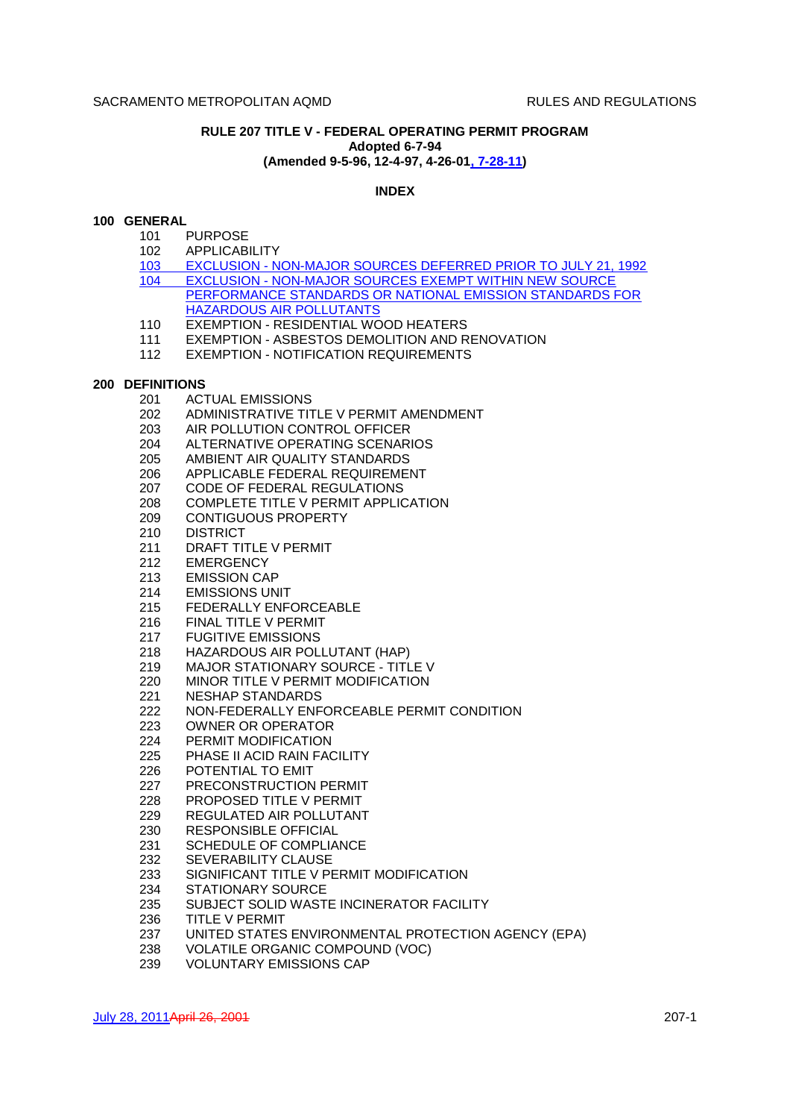# **RULE 207 TITLE V - FEDERAL OPERATING PERMIT PROGRAM Adopted 6-7-94 (Amended 9-5-96, 12-4-97, 4-26-01, 7-28-11)**

## **INDEX**

## **100 GENERAL**

- 101 PURPOSE
- 102 APPLICABILITY
- 103 EXCLUSION NON-MAJOR SOURCES DEFERRED PRIOR TO JULY 21, 1992 104 EXCLUSION - NON-MAJOR SOURCES EXEMPT WITHIN NEW SOURCE PERFORMANCE STANDARDS OR NATIONAL EMISSION STANDARDS FOR HAZARDOUS AIR POLLUTANTS
- 110 EXEMPTION RESIDENTIAL WOOD HEATERS
- 111 EXEMPTION ASBESTOS DEMOLITION AND RENOVATION
- 112 EXEMPTION NOTIFICATION REQUIREMENTS

### **200 DEFINITIONS**

- 201 ACTUAL EMISSIONS
- 202 ADMINISTRATIVE TITLE V PERMIT AMENDMENT
- 203 AIR POLLUTION CONTROL OFFICER
- 204 ALTERNATIVE OPERATING SCENARIOS
- 205 AMBIENT AIR QUALITY STANDARDS
- 206 APPLICABLE FEDERAL REQUIREMENT
- 207 CODE OF FEDERAL REGULATIONS
- 208 COMPLETE TITLE V PERMIT APPLICATION
- 209 CONTIGUOUS PROPERTY
- 210 DISTRICT
- 211 DRAFT TITLE V PERMIT
- 212 EMERGENCY
- 213 EMISSION CAP
- 214 EMISSIONS UNIT
- 215 FEDERALLY ENFORCEABLE
- 216 FINAL TITLE V PERMIT
- 217 FUGITIVE EMISSIONS
- 218 HAZARDOUS AIR POLLUTANT (HAP)
- 219 MAJOR STATIONARY SOURCE TITLE V
- 220 MINOR TITLE V PERMIT MODIFICATION
- 221 NESHAP STANDARDS
- 222 NON-FEDERALLY ENFORCEABLE PERMIT CONDITION
- 223 OWNER OR OPERATOR
- 224 PERMIT MODIFICATION
- 225 PHASE II ACID RAIN FACILITY
- 226 POTENTIAL TO EMIT
- 227 PRECONSTRUCTION PERMIT
- 228 PROPOSED TITLE V PERMIT
- 229 REGULATED AIR POLLUTANT
- 230 RESPONSIBLE OFFICIAL
- 231 SCHEDULE OF COMPLIANCE
- 232 SEVERABILITY CLAUSE
- 233 SIGNIFICANT TITLE V PERMIT MODIFICATION
- 234 STATIONARY SOURCE
- 235 SUBJECT SOLID WASTE INCINERATOR FACILITY
- 236 TITLE V PERMIT
- 237 UNITED STATES ENVIRONMENTAL PROTECTION AGENCY (EPA)
- 238 VOLATILE ORGANIC COMPOUND (VOC)
- 239 VOLUNTARY EMISSIONS CAP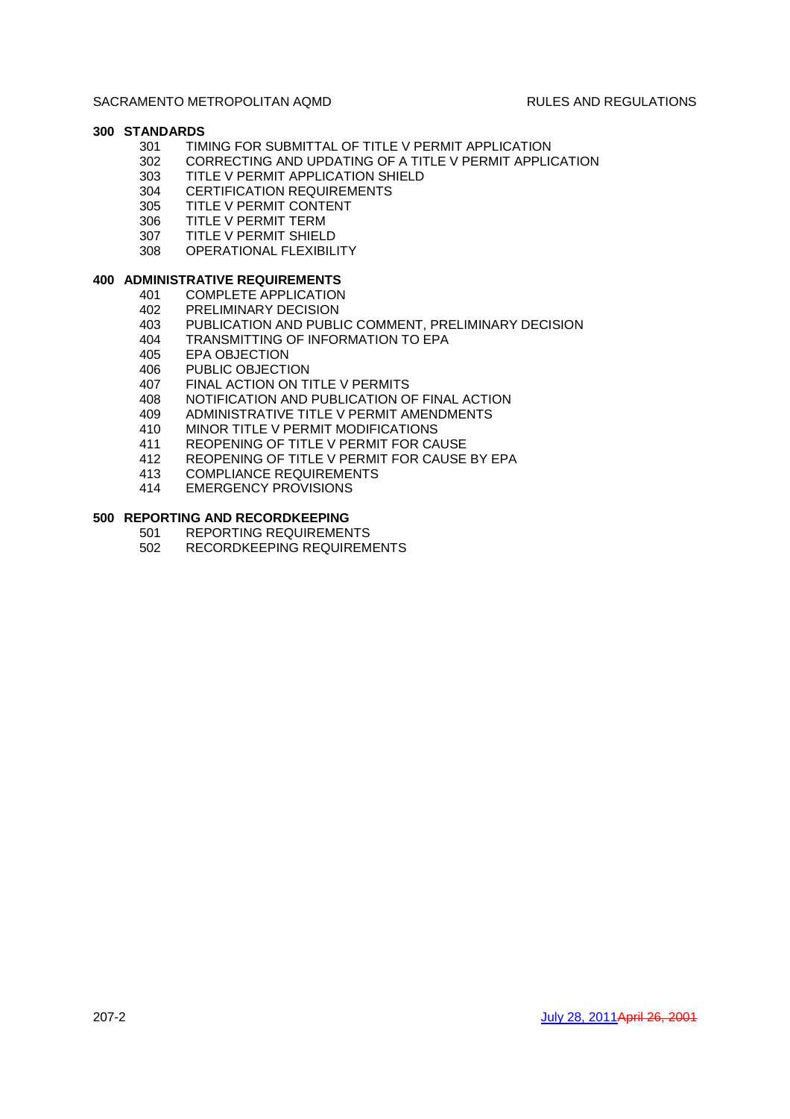# **300 STANDARDS**

- 301 TIMING FOR SUBMITTAL OF TITLE V PERMIT APPLICATION
- 302 CORRECTING AND UPDATING OF A TITLE V PERMIT APPLICATION
- 303 TITLE V PERMIT APPLICATION SHIELD
- 304 CERTIFICATION REQUIREMENTS
- 305 TITLE V PERMIT CONTENT
- 306 TITLE V PERMIT TERM
- 307 TITLE V PERMIT SHIELD
- 308 OPERATIONAL FLEXIBILITY

# **400 ADMINISTRATIVE REQUIREMENTS**

- 401 COMPLETE APPLICATION
- 402 PRELIMINARY DECISION
- 403 PUBLICATION AND PUBLIC COMMENT, PRELIMINARY DECISION
- 404 TRANSMITTING OF INFORMATION TO EPA
- 405 EPA OBJECTION<br>406 PUBLIC OBJECTI
- PUBLIC OBJECTION
- 407 FINAL ACTION ON TITLE V PERMITS
- 408 NOTIFICATION AND PUBLICATION OF FINAL ACTION
- 409 ADMINISTRATIVE TITLE V PERMIT AMENDMENTS
- 410 MINOR TITLE V PERMIT MODIFICATIONS
- 411 REOPENING OF TITLE V PERMIT FOR CAUSE
- 412 REOPENING OF TITLE V PERMIT FOR CAUSE BY EPA
- 413 COMPLIANCE REQUIREMENTS
- 414 EMERGENCY PROVISIONS

# **500 REPORTING AND RECORDKEEPING**

- 501 REPORTING REQUIREMENTS
- 502 RECORDKEEPING REQUIREMENTS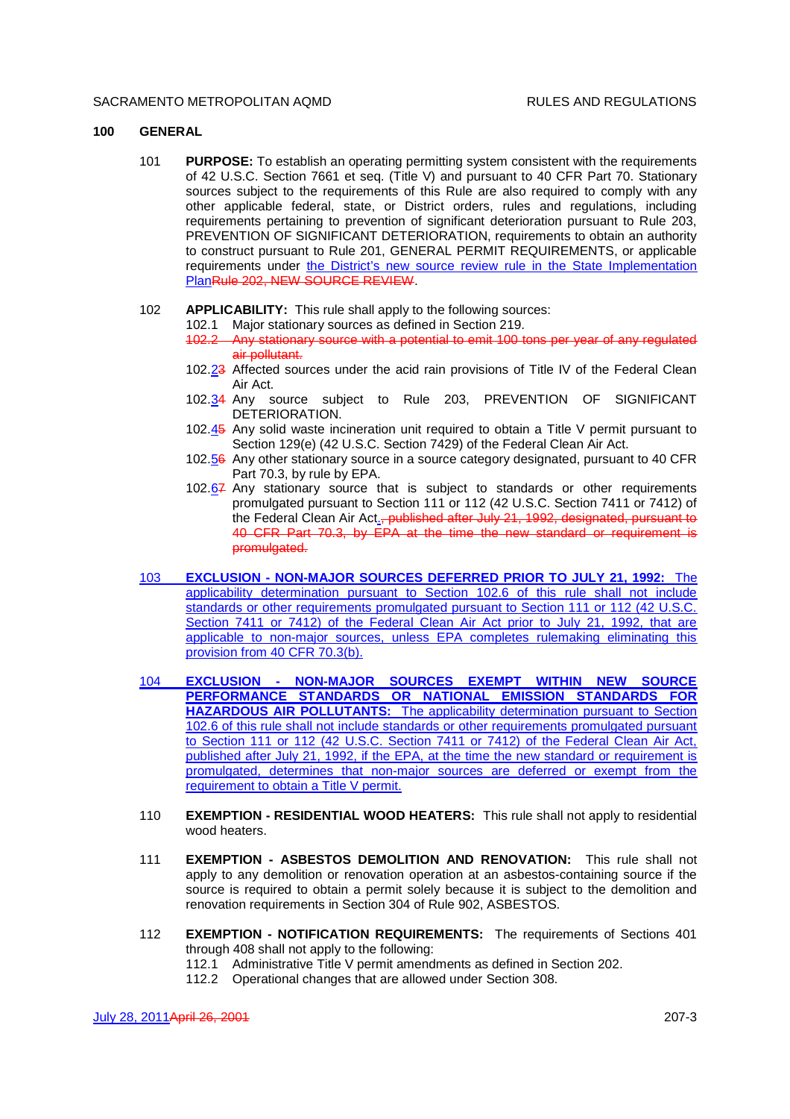### **100 GENERAL**

101 **PURPOSE:** To establish an operating permitting system consistent with the requirements of 42 U.S.C. Section 7661 et seq. (Title V) and pursuant to 40 CFR Part 70. Stationary sources subject to the requirements of this Rule are also required to comply with any other applicable federal, state, or District orders, rules and regulations, including requirements pertaining to prevention of significant deterioration pursuant to Rule 203, PREVENTION OF SIGNIFICANT DETERIORATION, requirements to obtain an authority to construct pursuant to Rule 201, GENERAL PERMIT REQUIREMENTS, or applicable requirements under the District's new source review rule in the State Implementation PlanRule 202, NEW SOURCE REVIEW.

#### 102 **APPLICABILITY:** This rule shall apply to the following sources:

- 102.1 Major stationary sources as defined in Section 219.
- 102.2 Any stationary source with a potential to emit 100 tons per year of any regulated air pollutant.
- 102.23 Affected sources under the acid rain provisions of Title IV of the Federal Clean Air Act.
- 102.34 Any source subject to Rule 203, PREVENTION OF SIGNIFICANT DETERIORATION.
- 102.45 Any solid waste incineration unit required to obtain a Title V permit pursuant to Section 129(e) (42 U.S.C. Section 7429) of the Federal Clean Air Act.
- 102.56 Any other stationary source in a source category designated, pursuant to 40 CFR Part 70.3, by rule by EPA.
- 102.67 Any stationary source that is subject to standards or other requirements promulgated pursuant to Section 111 or 112 (42 U.S.C. Section 7411 or 7412) of the Federal Clean Air Act., published after July 21, 1992, designated, pursuant to 40 CFR Part 70.3, by EPA at the time the new standard or requirement is promulgated.
- 103 **EXCLUSION NON-MAJOR SOURCES DEFERRED PRIOR TO JULY 21, 1992:** The applicability determination pursuant to Section 102.6 of this rule shall not include standards or other requirements promulgated pursuant to Section 111 or 112 (42 U.S.C. Section 7411 or 7412) of the Federal Clean Air Act prior to July 21, 1992, that are applicable to non-major sources, unless EPA completes rulemaking eliminating this provision from 40 CFR 70.3(b).
- 104 **EXCLUSION NON-MAJOR SOURCES EXEMPT WITHIN NEW SOURCE PERFORMANCE STANDARDS OR NATIONAL EMISSION STANDARDS FOR HAZARDOUS AIR POLLUTANTS:** The applicability determination pursuant to Section 102.6 of this rule shall not include standards or other requirements promulgated pursuant to Section 111 or 112 (42 U.S.C. Section 7411 or 7412) of the Federal Clean Air Act, published after July 21, 1992, if the EPA, at the time the new standard or requirement is promulgated, determines that non-major sources are deferred or exempt from the requirement to obtain a Title V permit.
- 110 **EXEMPTION RESIDENTIAL WOOD HEATERS:** This rule shall not apply to residential wood heaters.
- 111 **EXEMPTION ASBESTOS DEMOLITION AND RENOVATION:** This rule shall not apply to any demolition or renovation operation at an asbestos-containing source if the source is required to obtain a permit solely because it is subject to the demolition and renovation requirements in Section 304 of Rule 902, ASBESTOS.
- 112 **EXEMPTION NOTIFICATION REQUIREMENTS:** The requirements of Sections 401 through 408 shall not apply to the following:
	- 112.1 Administrative Title V permit amendments as defined in Section 202.
	- 112.2 Operational changes that are allowed under Section 308.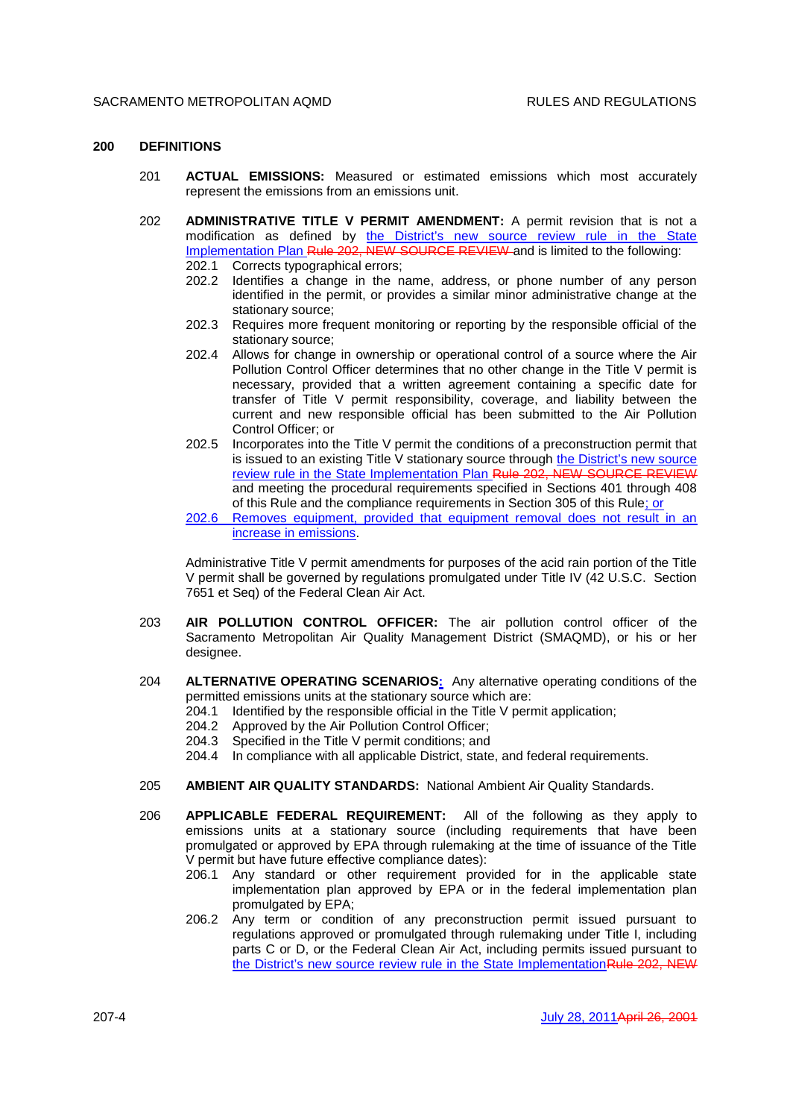## **200 DEFINITIONS**

- 201 **ACTUAL EMISSIONS:** Measured or estimated emissions which most accurately represent the emissions from an emissions unit.
- 202 **ADMINISTRATIVE TITLE V PERMIT AMENDMENT:** A permit revision that is not a modification as defined by the District's new source review rule in the State Implementation Plan Rule 202, NEW SOURCE REVIEW and is limited to the following:

202.1 Corrects typographical errors;

- 202.2 Identifies a change in the name, address, or phone number of any person identified in the permit, or provides a similar minor administrative change at the stationary source;
- 202.3 Requires more frequent monitoring or reporting by the responsible official of the stationary source;
- 202.4 Allows for change in ownership or operational control of a source where the Air Pollution Control Officer determines that no other change in the Title V permit is necessary, provided that a written agreement containing a specific date for transfer of Title V permit responsibility, coverage, and liability between the current and new responsible official has been submitted to the Air Pollution Control Officer; or
- 202.5 Incorporates into the Title V permit the conditions of a preconstruction permit that is issued to an existing Title V stationary source through the District's new source review rule in the State Implementation Plan Rule 202, NEW SOURCE REVIEW and meeting the procedural requirements specified in Sections 401 through 408 of this Rule and the compliance requirements in Section 305 of this Rule; or
- 202.6 Removes equipment, provided that equipment removal does not result in an increase in emissions.

Administrative Title V permit amendments for purposes of the acid rain portion of the Title V permit shall be governed by regulations promulgated under Title IV (42 U.S.C. Section 7651 et Seq) of the Federal Clean Air Act.

- 203 **AIR POLLUTION CONTROL OFFICER:** The air pollution control officer of the Sacramento Metropolitan Air Quality Management District (SMAQMD), or his or her designee.
- 204 **ALTERNATIVE OPERATING SCENARIOS:** Any alternative operating conditions of the permitted emissions units at the stationary source which are:
	- 204.1 Identified by the responsible official in the Title V permit application;
	- 204.2 Approved by the Air Pollution Control Officer;
	- 204.3 Specified in the Title V permit conditions; and
	- 204.4 In compliance with all applicable District, state, and federal requirements.
- 205 **AMBIENT AIR QUALITY STANDARDS:** National Ambient Air Quality Standards.
- 206 **APPLICABLE FEDERAL REQUIREMENT:** All of the following as they apply to emissions units at a stationary source (including requirements that have been promulgated or approved by EPA through rulemaking at the time of issuance of the Title V permit but have future effective compliance dates):
	- 206.1 Any standard or other requirement provided for in the applicable state implementation plan approved by EPA or in the federal implementation plan promulgated by EPA;
	- 206.2 Any term or condition of any preconstruction permit issued pursuant to regulations approved or promulgated through rulemaking under Title I, including parts C or D, or the Federal Clean Air Act, including permits issued pursuant to the District's new source review rule in the State ImplementationRule 202, NEW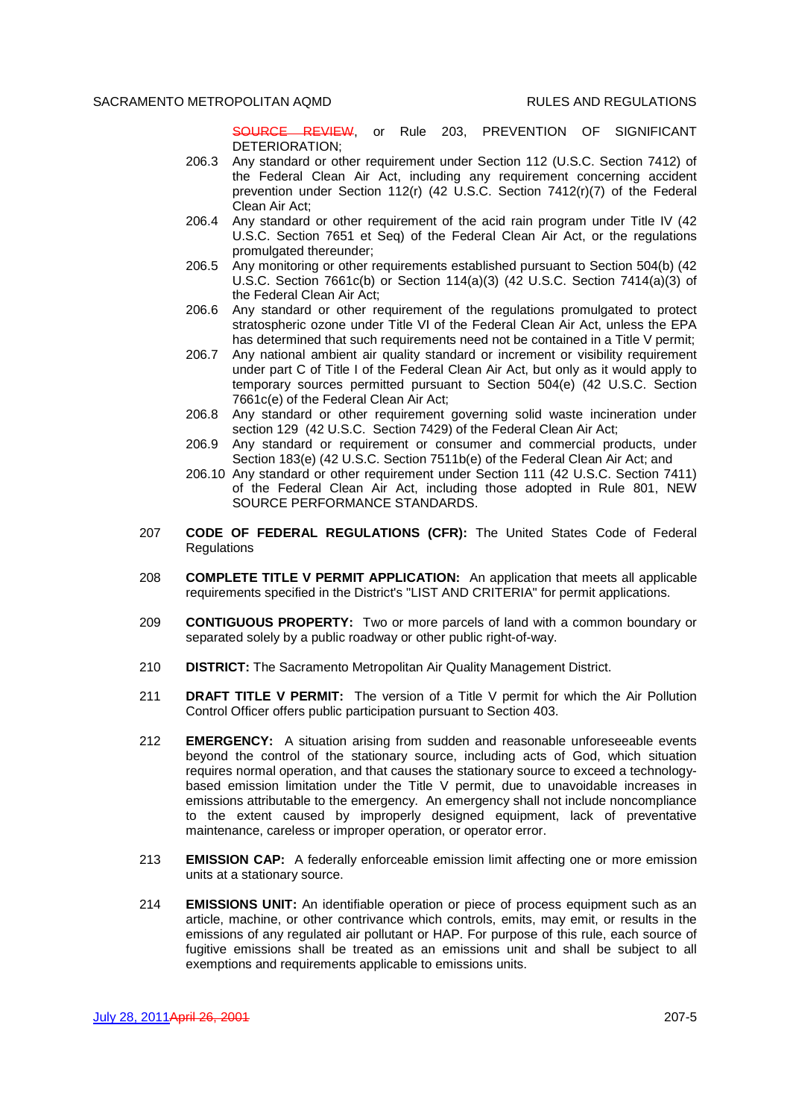SOURCE REVIEW, or Rule 203, PREVENTION OF SIGNIFICANT DETERIORATION;

- 206.3 Any standard or other requirement under Section 112 (U.S.C. Section 7412) of the Federal Clean Air Act, including any requirement concerning accident prevention under Section 112(r) (42 U.S.C. Section 7412(r)(7) of the Federal Clean Air Act;
- 206.4 Any standard or other requirement of the acid rain program under Title IV (42 U.S.C. Section 7651 et Seq) of the Federal Clean Air Act, or the regulations promulgated thereunder;
- 206.5 Any monitoring or other requirements established pursuant to Section 504(b) (42 U.S.C. Section 7661c(b) or Section 114(a)(3) (42 U.S.C. Section 7414(a)(3) of the Federal Clean Air Act;
- 206.6 Any standard or other requirement of the regulations promulgated to protect stratospheric ozone under Title VI of the Federal Clean Air Act, unless the EPA has determined that such requirements need not be contained in a Title V permit;
- 206.7 Any national ambient air quality standard or increment or visibility requirement under part C of Title I of the Federal Clean Air Act, but only as it would apply to temporary sources permitted pursuant to Section 504(e) (42 U.S.C. Section 7661c(e) of the Federal Clean Air Act;
- 206.8 Any standard or other requirement governing solid waste incineration under section 129 (42 U.S.C. Section 7429) of the Federal Clean Air Act;
- 206.9 Any standard or requirement or consumer and commercial products, under Section 183(e) (42 U.S.C. Section 7511b(e) of the Federal Clean Air Act; and
- 206.10 Any standard or other requirement under Section 111 (42 U.S.C. Section 7411) of the Federal Clean Air Act, including those adopted in Rule 801, NEW SOURCE PERFORMANCE STANDARDS.
- 207 **CODE OF FEDERAL REGULATIONS (CFR):** The United States Code of Federal **Regulations**
- 208 **COMPLETE TITLE V PERMIT APPLICATION:** An application that meets all applicable requirements specified in the District's "LIST AND CRITERIA" for permit applications.
- 209 **CONTIGUOUS PROPERTY:** Two or more parcels of land with a common boundary or separated solely by a public roadway or other public right-of-way.
- 210 **DISTRICT:** The Sacramento Metropolitan Air Quality Management District.
- 211 **DRAFT TITLE V PERMIT:** The version of a Title V permit for which the Air Pollution Control Officer offers public participation pursuant to Section 403.
- 212 **EMERGENCY:** A situation arising from sudden and reasonable unforeseeable events beyond the control of the stationary source, including acts of God, which situation requires normal operation, and that causes the stationary source to exceed a technologybased emission limitation under the Title V permit, due to unavoidable increases in emissions attributable to the emergency. An emergency shall not include noncompliance to the extent caused by improperly designed equipment, lack of preventative maintenance, careless or improper operation, or operator error.
- 213 **EMISSION CAP:** A federally enforceable emission limit affecting one or more emission units at a stationary source.
- 214 **EMISSIONS UNIT:** An identifiable operation or piece of process equipment such as an article, machine, or other contrivance which controls, emits, may emit, or results in the emissions of any regulated air pollutant or HAP. For purpose of this rule, each source of fugitive emissions shall be treated as an emissions unit and shall be subject to all exemptions and requirements applicable to emissions units.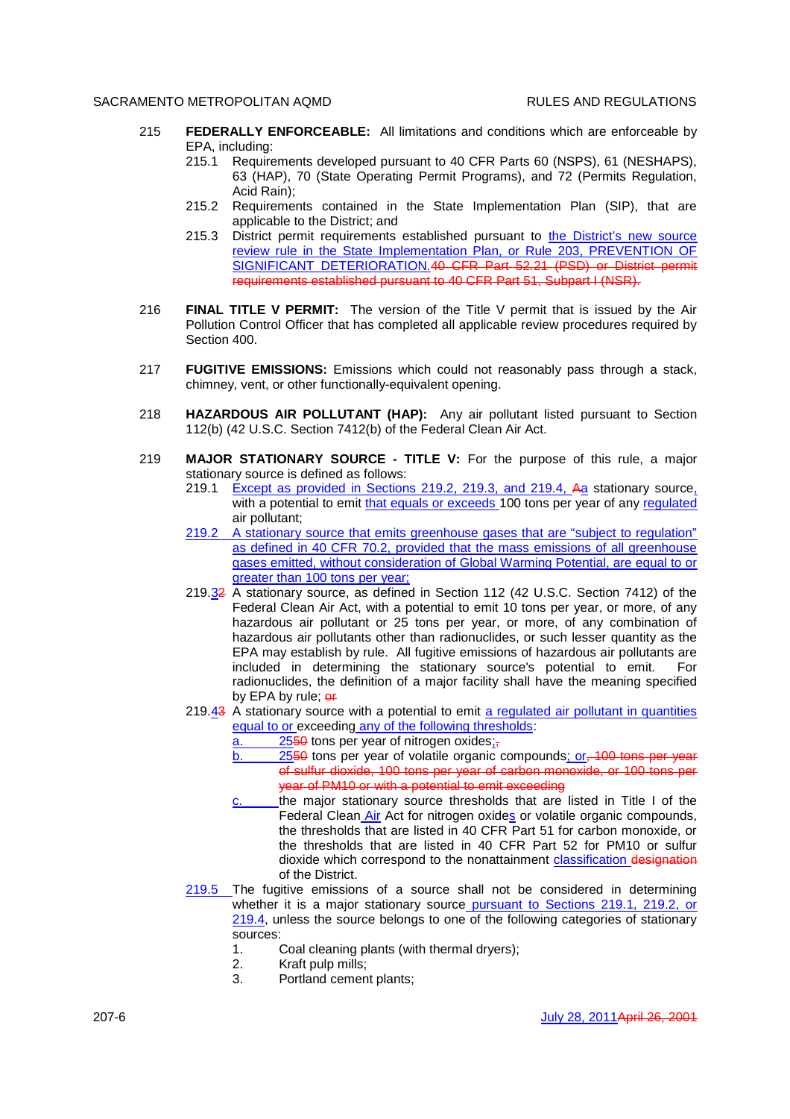- 215 **FEDERALLY ENFORCEABLE:** All limitations and conditions which are enforceable by EPA, including:
	- 215.1 Requirements developed pursuant to 40 CFR Parts 60 (NSPS), 61 (NESHAPS), 63 (HAP), 70 (State Operating Permit Programs), and 72 (Permits Regulation, Acid Rain);
	- 215.2 Requirements contained in the State Implementation Plan (SIP), that are applicable to the District; and
	- 215.3 District permit requirements established pursuant to the District's new source review rule in the State Implementation Plan, or Rule 203, PREVENTION OF SIGNIFICANT DETERIORATION.40 CFR Part 52.21 (PSD) or District permit requirements established pursuant to 40 CFR Part 51, Subpart I (NSR).
- 216 **FINAL TITLE V PERMIT:** The version of the Title V permit that is issued by the Air Pollution Control Officer that has completed all applicable review procedures required by Section 400.
- 217 **FUGITIVE EMISSIONS:** Emissions which could not reasonably pass through a stack, chimney, vent, or other functionally-equivalent opening.
- 218 **HAZARDOUS AIR POLLUTANT (HAP):** Any air pollutant listed pursuant to Section 112(b) (42 U.S.C. Section 7412(b) of the Federal Clean Air Act.
- 219 **MAJOR STATIONARY SOURCE TITLE V:** For the purpose of this rule, a major stationary source is defined as follows:
	- 219.1 Except as provided in Sections 219.2, 219.3, and 219.4, Aa stationary source, with a potential to emit that equals or exceeds 100 tons per year of any regulated air pollutant;
	- 219.2 A stationary source that emits greenhouse gases that are "subject to regulation" as defined in 40 CFR 70.2, provided that the mass emissions of all greenhouse gases emitted, without consideration of Global Warming Potential, are equal to or greater than 100 tons per year;
	- 219.32 A stationary source, as defined in Section 112 (42 U.S.C. Section 7412) of the Federal Clean Air Act, with a potential to emit 10 tons per year, or more, of any hazardous air pollutant or 25 tons per year, or more, of any combination of hazardous air pollutants other than radionuclides, or such lesser quantity as the EPA may establish by rule. All fugitive emissions of hazardous air pollutants are included in determining the stationary source's potential to emit. For radionuclides, the definition of a major facility shall have the meaning specified by EPA by rule; or
	- 219.43 A stationary source with a potential to emit a regulated air pollutant in quantities equal to or exceeding any of the following thresholds:
		- $\overline{a}$ . 2550 tons per year of nitrogen oxides;
		- b. 2550 tons per year of volatile organic compounds; or, 100 tons per year of sulfur dioxide, 100 tons per year of carbon monoxide, or 100 tons per year of PM10 or with a potential to emit exceeding
		- $c.$  the major stationary source thresholds that are listed in Title I of the Federal Clean Air Act for nitrogen oxides or volatile organic compounds, the thresholds that are listed in 40 CFR Part 51 for carbon monoxide, or the thresholds that are listed in 40 CFR Part 52 for PM10 or sulfur dioxide which correspond to the nonattainment *classification* designation of the District.
	- 219.5 The fugitive emissions of a source shall not be considered in determining whether it is a major stationary source pursuant to Sections 219.1, 219.2, or 219.4, unless the source belongs to one of the following categories of stationary sources:
		- 1. Coal cleaning plants (with thermal dryers);
		- 2. Kraft pulp mills;
		- 3. Portland cement plants;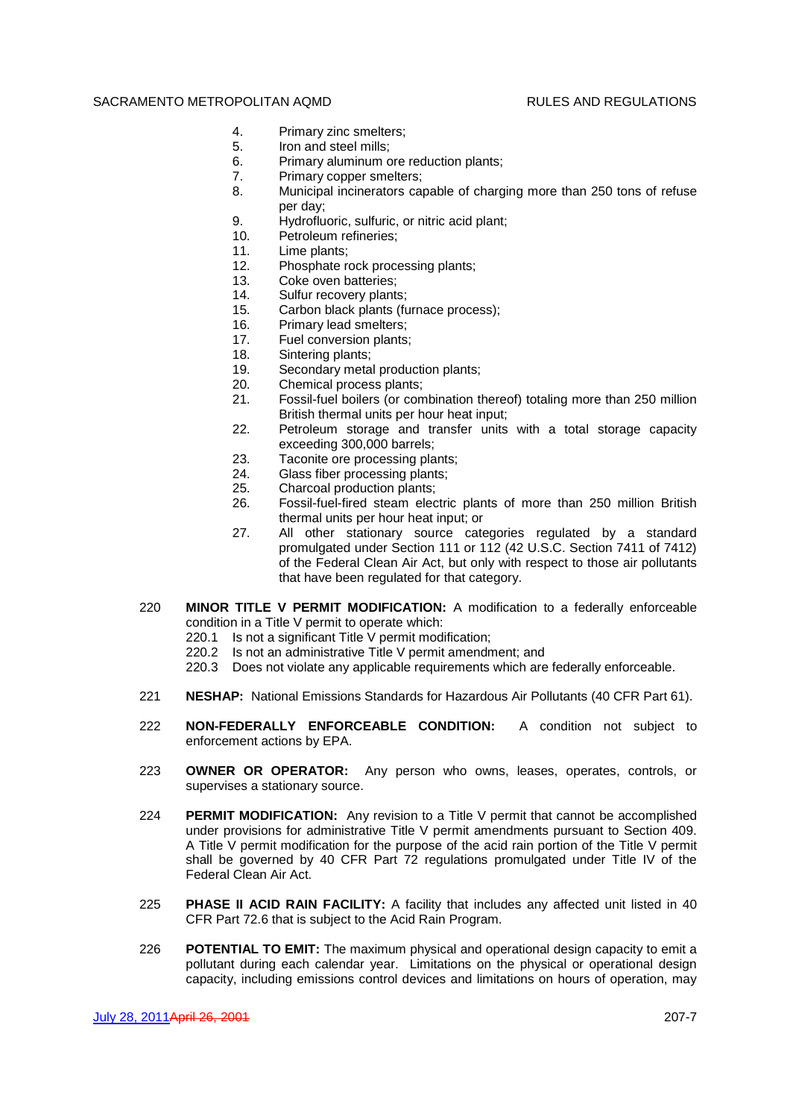- 4. Primary zinc smelters;
- 5. Iron and steel mills;
- 6. Primary aluminum ore reduction plants;
- 7. Primary copper smelters;
- 8. Municipal incinerators capable of charging more than 250 tons of refuse per day;
- 9. Hydrofluoric, sulfuric, or nitric acid plant;
- 10. Petroleum refineries;
- 11. Lime plants;
- 12. Phosphate rock processing plants;
- 13. Coke oven batteries;
- 14. Sulfur recovery plants;
- 15. Carbon black plants (furnace process);
- 16. Primary lead smelters;
- 17. Fuel conversion plants;
- 18. Sintering plants;
- 19. Secondary metal production plants;
- 20. Chemical process plants;
- 21. Fossil-fuel boilers (or combination thereof) totaling more than 250 million British thermal units per hour heat input;
- 22. Petroleum storage and transfer units with a total storage capacity exceeding 300,000 barrels;
- 23. Taconite ore processing plants;
- 24. Glass fiber processing plants;
- 25. Charcoal production plants;
- 26. Fossil-fuel-fired steam electric plants of more than 250 million British thermal units per hour heat input; or
- 27. All other stationary source categories regulated by a standard promulgated under Section 111 or 112 (42 U.S.C. Section 7411 of 7412) of the Federal Clean Air Act, but only with respect to those air pollutants that have been regulated for that category.
- 220 **MINOR TITLE V PERMIT MODIFICATION:** A modification to a federally enforceable condition in a Title V permit to operate which:
	- 220.1 Is not a significant Title V permit modification;
	- 220.2 Is not an administrative Title V permit amendment; and
	- 220.3 Does not violate any applicable requirements which are federally enforceable.
- 221 **NESHAP:** National Emissions Standards for Hazardous Air Pollutants (40 CFR Part 61).
- 222 **NON-FEDERALLY ENFORCEABLE CONDITION:** A condition not subject to enforcement actions by EPA.
- 223 **OWNER OR OPERATOR:** Any person who owns, leases, operates, controls, or supervises a stationary source.
- 224 **PERMIT MODIFICATION:** Any revision to a Title V permit that cannot be accomplished under provisions for administrative Title V permit amendments pursuant to Section 409. A Title V permit modification for the purpose of the acid rain portion of the Title V permit shall be governed by 40 CFR Part 72 regulations promulgated under Title IV of the Federal Clean Air Act.
- 225 **PHASE II ACID RAIN FACILITY:** A facility that includes any affected unit listed in 40 CFR Part 72.6 that is subject to the Acid Rain Program.
- 226 **POTENTIAL TO EMIT:** The maximum physical and operational design capacity to emit a pollutant during each calendar year. Limitations on the physical or operational design capacity, including emissions control devices and limitations on hours of operation, may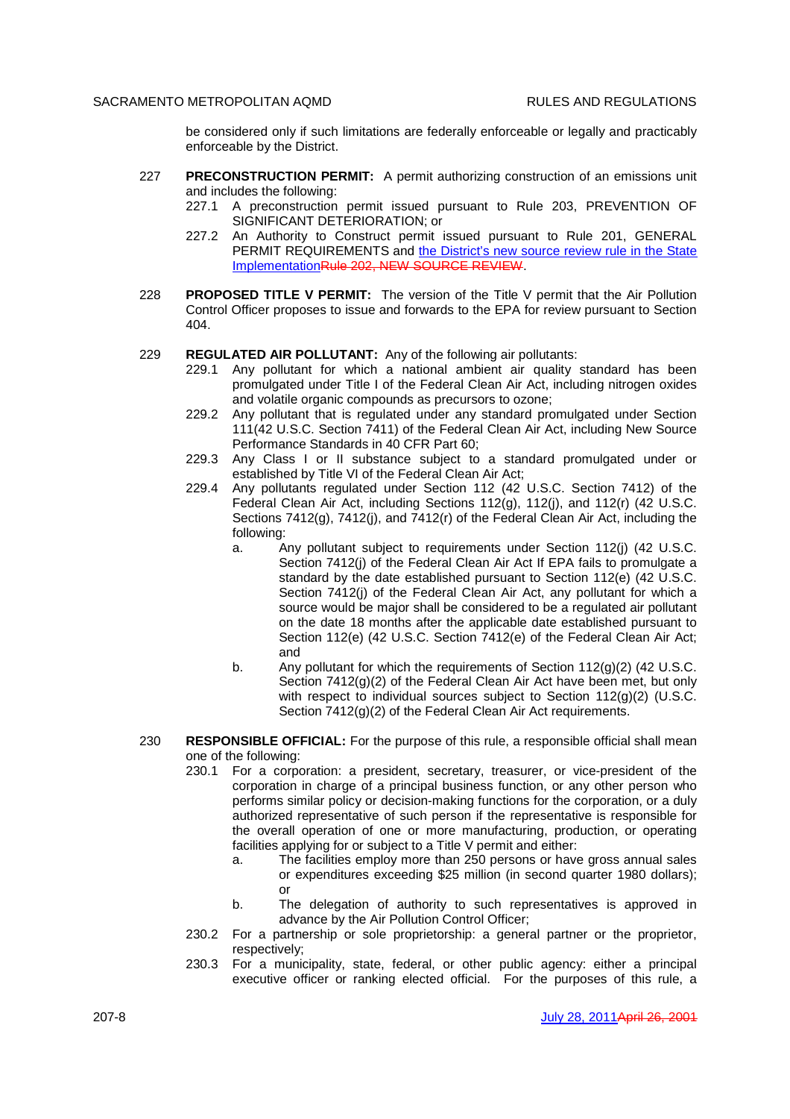be considered only if such limitations are federally enforceable or legally and practicably enforceable by the District.

- 227 **PRECONSTRUCTION PERMIT:** A permit authorizing construction of an emissions unit and includes the following:
	- 227.1 A preconstruction permit issued pursuant to Rule 203, PREVENTION OF SIGNIFICANT DETERIORATION; or
	- 227.2 An Authority to Construct permit issued pursuant to Rule 201, GENERAL PERMIT REQUIREMENTS and the District's new source review rule in the State ImplementationRule 202, NEW SOURCE REVIEW.
- 228 **PROPOSED TITLE V PERMIT:** The version of the Title V permit that the Air Pollution Control Officer proposes to issue and forwards to the EPA for review pursuant to Section 404.

#### 229 **REGULATED AIR POLLUTANT:** Any of the following air pollutants:

- 229.1 Any pollutant for which a national ambient air quality standard has been promulgated under Title I of the Federal Clean Air Act, including nitrogen oxides and volatile organic compounds as precursors to ozone;
- 229.2 Any pollutant that is regulated under any standard promulgated under Section 111(42 U.S.C. Section 7411) of the Federal Clean Air Act, including New Source Performance Standards in 40 CFR Part 60;
- 229.3 Any Class I or II substance subject to a standard promulgated under or established by Title VI of the Federal Clean Air Act;
- 229.4 Any pollutants regulated under Section 112 (42 U.S.C. Section 7412) of the Federal Clean Air Act, including Sections 112(g), 112(j), and 112(r) (42 U.S.C. Sections 7412(g), 7412(j), and 7412(r) of the Federal Clean Air Act, including the following:
	- a. Any pollutant subject to requirements under Section 112(j) (42 U.S.C. Section 7412(i) of the Federal Clean Air Act If EPA fails to promulgate a standard by the date established pursuant to Section 112(e) (42 U.S.C. Section 7412(i) of the Federal Clean Air Act, any pollutant for which a source would be major shall be considered to be a regulated air pollutant on the date 18 months after the applicable date established pursuant to Section 112(e) (42 U.S.C. Section 7412(e) of the Federal Clean Air Act; and
	- b. Any pollutant for which the requirements of Section 112(g)(2) (42 U.S.C. Section 7412(g)(2) of the Federal Clean Air Act have been met, but only with respect to individual sources subject to Section 112(g)(2) (U.S.C. Section 7412(g)(2) of the Federal Clean Air Act requirements.
- 230 **RESPONSIBLE OFFICIAL:** For the purpose of this rule, a responsible official shall mean one of the following:
	- 230.1 For a corporation: a president, secretary, treasurer, or vice-president of the corporation in charge of a principal business function, or any other person who performs similar policy or decision-making functions for the corporation, or a duly authorized representative of such person if the representative is responsible for the overall operation of one or more manufacturing, production, or operating facilities applying for or subject to a Title V permit and either:
		- a. The facilities employ more than 250 persons or have gross annual sales or expenditures exceeding \$25 million (in second quarter 1980 dollars); or
		- b. The delegation of authority to such representatives is approved in advance by the Air Pollution Control Officer;
	- 230.2 For a partnership or sole proprietorship: a general partner or the proprietor, respectively;
	- 230.3 For a municipality, state, federal, or other public agency: either a principal executive officer or ranking elected official. For the purposes of this rule, a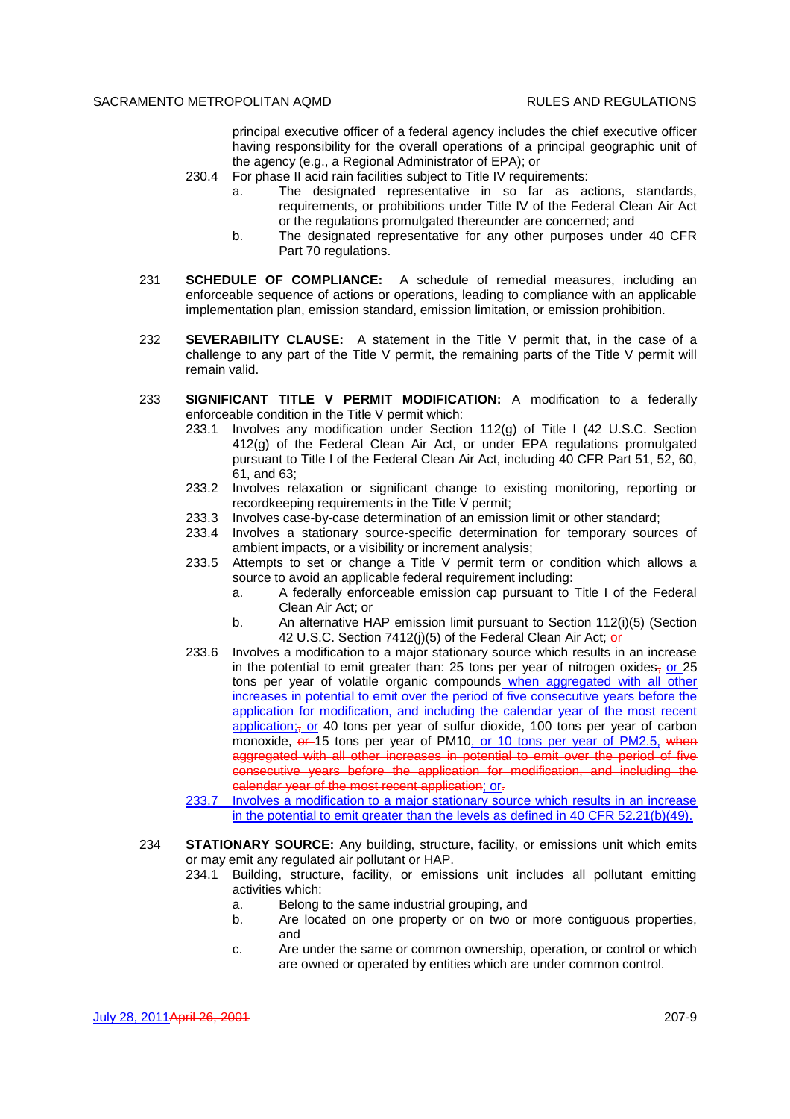principal executive officer of a federal agency includes the chief executive officer having responsibility for the overall operations of a principal geographic unit of the agency (e.g., a Regional Administrator of EPA); or

- 230.4 For phase II acid rain facilities subiect to Title IV requirements:
	- a. The designated representative in so far as actions, standards, requirements, or prohibitions under Title IV of the Federal Clean Air Act or the regulations promulgated thereunder are concerned; and
	- b. The designated representative for any other purposes under 40 CFR Part 70 regulations.
- 231 **SCHEDULE OF COMPLIANCE:** A schedule of remedial measures, including an enforceable sequence of actions or operations, leading to compliance with an applicable implementation plan, emission standard, emission limitation, or emission prohibition.
- 232 **SEVERABILITY CLAUSE:** A statement in the Title V permit that, in the case of a challenge to any part of the Title V permit, the remaining parts of the Title V permit will remain valid.
- 233 **SIGNIFICANT TITLE V PERMIT MODIFICATION:** A modification to a federally enforceable condition in the Title V permit which:
	- 233.1 Involves any modification under Section 112(g) of Title I (42 U.S.C. Section 412(g) of the Federal Clean Air Act, or under EPA regulations promulgated pursuant to Title I of the Federal Clean Air Act, including 40 CFR Part 51, 52, 60, 61, and 63;
	- 233.2 Involves relaxation or significant change to existing monitoring, reporting or recordkeeping requirements in the Title V permit;
	- 233.3 Involves case-by-case determination of an emission limit or other standard;
	- 233.4 Involves a stationary source-specific determination for temporary sources of ambient impacts, or a visibility or increment analysis;
	- 233.5 Attempts to set or change a Title V permit term or condition which allows a source to avoid an applicable federal requirement including:
		- a. A federally enforceable emission cap pursuant to Title I of the Federal Clean Air Act; or
		- b. An alternative HAP emission limit pursuant to Section 112(i)(5) (Section 42 U.S.C. Section 7412(j)(5) of the Federal Clean Air Act; or
	- 233.6 Involves a modification to a major stationary source which results in an increase in the potential to emit greater than: 25 tons per year of nitrogen oxides, or 25 tons per year of volatile organic compounds when aggregated with all other increases in potential to emit over the period of five consecutive years before the application for modification, and including the calendar year of the most recent application;<sub> $\tau$ </sub> or 40 tons per year of sulfur dioxide, 100 tons per year of carbon monoxide,  $\theta$  15 tons per year of PM10, or 10 tons per year of PM2.5, when aggregated with all other increases in potential to emit over the period of five consecutive years before the application for modification, and including the calendar year of the most recent application; or-
	- 233.7 Involves a modification to a major stationary source which results in an increase in the potential to emit greater than the levels as defined in 40 CFR 52.21(b)(49).
- 234 **STATIONARY SOURCE:** Any building, structure, facility, or emissions unit which emits or may emit any regulated air pollutant or HAP.
	- 234.1 Building, structure, facility, or emissions unit includes all pollutant emitting activities which:
		- a. Belong to the same industrial grouping, and
		- b. Are located on one property or on two or more contiguous properties, and
		- c. Are under the same or common ownership, operation, or control or which are owned or operated by entities which are under common control.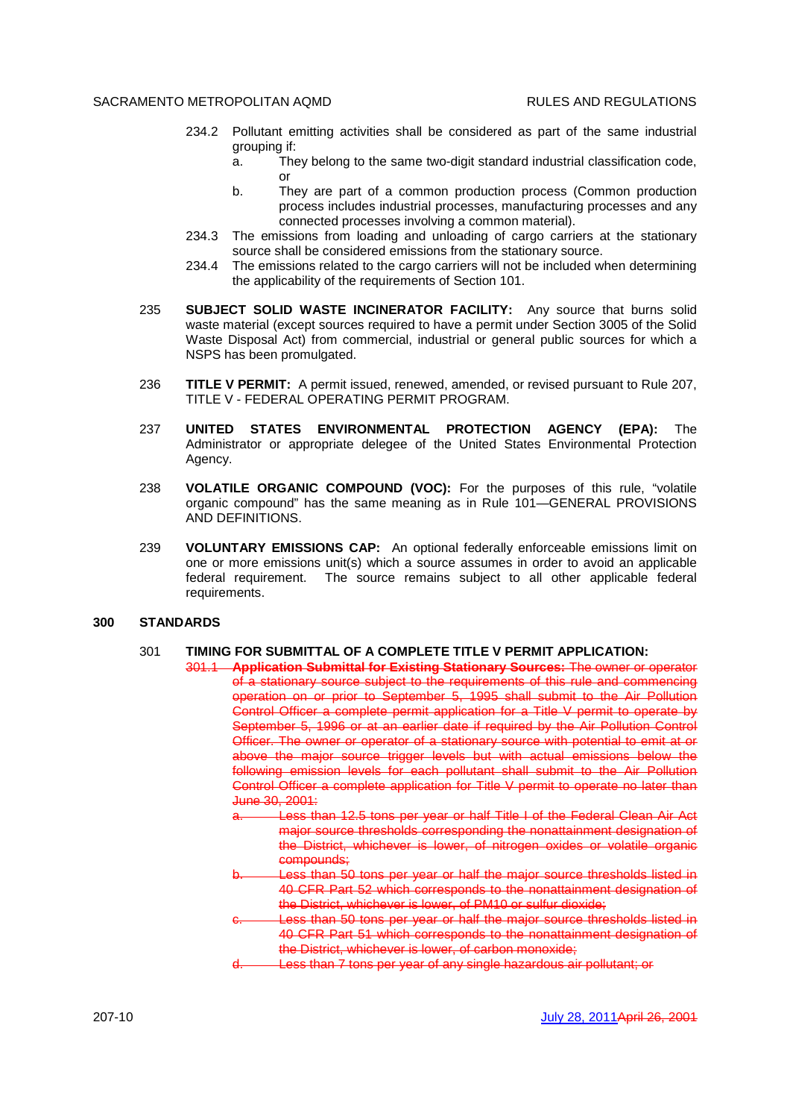- 234.2 Pollutant emitting activities shall be considered as part of the same industrial grouping if:
	- a. They belong to the same two-digit standard industrial classification code, or
	- b. They are part of a common production process (Common production process includes industrial processes, manufacturing processes and any connected processes involving a common material).
- 234.3 The emissions from loading and unloading of cargo carriers at the stationary source shall be considered emissions from the stationary source.
- 234.4 The emissions related to the cargo carriers will not be included when determining the applicability of the requirements of Section 101.
- 235 **SUBJECT SOLID WASTE INCINERATOR FACILITY:** Any source that burns solid waste material (except sources required to have a permit under Section 3005 of the Solid Waste Disposal Act) from commercial, industrial or general public sources for which a NSPS has been promulgated.
- 236 **TITLE V PERMIT:** A permit issued, renewed, amended, or revised pursuant to Rule 207, TITLE V - FEDERAL OPERATING PERMIT PROGRAM.
- 237 **UNITED STATES ENVIRONMENTAL PROTECTION AGENCY (EPA):** The Administrator or appropriate delegee of the United States Environmental Protection Agency.
- 238 **VOLATILE ORGANIC COMPOUND (VOC):** For the purposes of this rule, "volatile organic compound" has the same meaning as in Rule 101—GENERAL PROVISIONS AND DEFINITIONS.
- 239 **VOLUNTARY EMISSIONS CAP:** An optional federally enforceable emissions limit on one or more emissions unit(s) which a source assumes in order to avoid an applicable federal requirement. The source remains subject to all other applicable federal requirements.

## **300 STANDARDS**

## 301 **TIMING FOR SUBMITTAL OF A COMPLETE TITLE V PERMIT APPLICATION:**

301.1 **Application Submittal for Existing Stationary Sources:** The owner or operator of a stationary source subject to the requirements of this rule and commencing operation on or prior to September 5, 1995 shall submit to the Air Pollution Control Officer a complete permit application for a Title V permit to operate by September 5, 1996 or at an earlier date if required by the Air Pollution Control Officer. The owner or operator of a stationary source with potential to emit at or above the major source trigger levels but with actual emissions below the following emission levels for each pollutant shall submit to the Air Pollution Control Officer a complete application for Title V permit to operate no later than June 30, 2001:

- Less than 12.5 tons per year or half Title I of the Federal Clean Air Act major source thresholds corresponding the nonattainment designation of the District, whichever is lower, of nitrogen oxides or volatile organic compounds;
- Less than 50 tons per year or half the major source thresholds listed in 40 CFR Part 52 which corresponds to the nonattainment designation of the District, whichever is lower, of PM10 or sulfur dioxide;
- ess than 50 tons per year or half the major source thresholds listed in 40 CFR Part 51 which corresponds to the nonattainment designation of the District, whichever is lower, of carbon monoxide;
- Less than 7 tons per year of any single hazardous air pollutant; or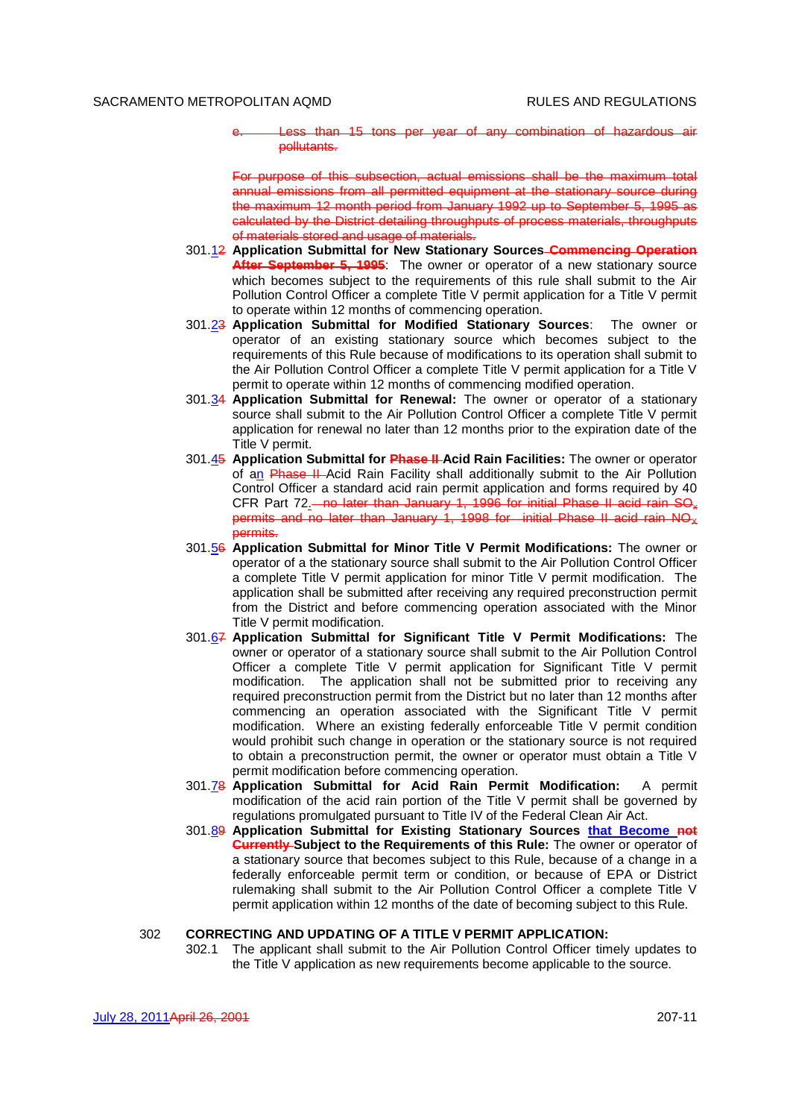Less than 15 tons per year of any combination of hazardous air pollutants.

For purpose of this subsection, actual emissions shall be the maximum total annual emissions from all permitted equipment at the stationary source during the maximum 12 month period from January 1992 up to September 5, 1995 as calculated by the District detailing throughputs of process materials, throughputs of materials stored and usage of materials.

- 301.12 **Application Submittal for New Stationary Sources Commencing Operation After September 5, 1995**: The owner or operator of a new stationary source which becomes subject to the requirements of this rule shall submit to the Air Pollution Control Officer a complete Title V permit application for a Title V permit to operate within 12 months of commencing operation.
- 301.23 **Application Submittal for Modified Stationary Sources**: The owner or operator of an existing stationary source which becomes subject to the requirements of this Rule because of modifications to its operation shall submit to the Air Pollution Control Officer a complete Title V permit application for a Title V permit to operate within 12 months of commencing modified operation.
- 301.34 **Application Submittal for Renewal:** The owner or operator of a stationary source shall submit to the Air Pollution Control Officer a complete Title V permit application for renewal no later than 12 months prior to the expiration date of the Title V permit.
- 301.45 **Application Submittal for Phase II Acid Rain Facilities:** The owner or operator of an Phase II Acid Rain Facility shall additionally submit to the Air Pollution Control Officer a standard acid rain permit application and forms required by 40 CFR Part 72<sup>-</sup> no later than January 1, 1996 for initial Phase II acid rain SO<sub>x</sub> permits and no later than January 1, 1998 for initial Phase II acid rain  $N\Theta_{\chi}$ permits.
- 301.56 **Application Submittal for Minor Title V Permit Modifications:** The owner or operator of a the stationary source shall submit to the Air Pollution Control Officer a complete Title V permit application for minor Title V permit modification. The application shall be submitted after receiving any required preconstruction permit from the District and before commencing operation associated with the Minor Title V permit modification.
- 301.67 **Application Submittal for Significant Title V Permit Modifications:** The owner or operator of a stationary source shall submit to the Air Pollution Control Officer a complete Title V permit application for Significant Title V permit modification. The application shall not be submitted prior to receiving any required preconstruction permit from the District but no later than 12 months after commencing an operation associated with the Significant Title V permit modification. Where an existing federally enforceable Title V permit condition would prohibit such change in operation or the stationary source is not required to obtain a preconstruction permit, the owner or operator must obtain a Title V permit modification before commencing operation.
- 301.78 **Application Submittal for Acid Rain Permit Modification:** A permit modification of the acid rain portion of the Title V permit shall be governed by regulations promulgated pursuant to Title IV of the Federal Clean Air Act.
- 301.89 **Application Submittal for Existing Stationary Sources that Become not Currently Subject to the Requirements of this Rule:** The owner or operator of a stationary source that becomes subject to this Rule, because of a change in a federally enforceable permit term or condition, or because of EPA or District rulemaking shall submit to the Air Pollution Control Officer a complete Title V permit application within 12 months of the date of becoming subject to this Rule.

## 302 **CORRECTING AND UPDATING OF A TITLE V PERMIT APPLICATION:**

302.1 The applicant shall submit to the Air Pollution Control Officer timely updates to the Title V application as new requirements become applicable to the source.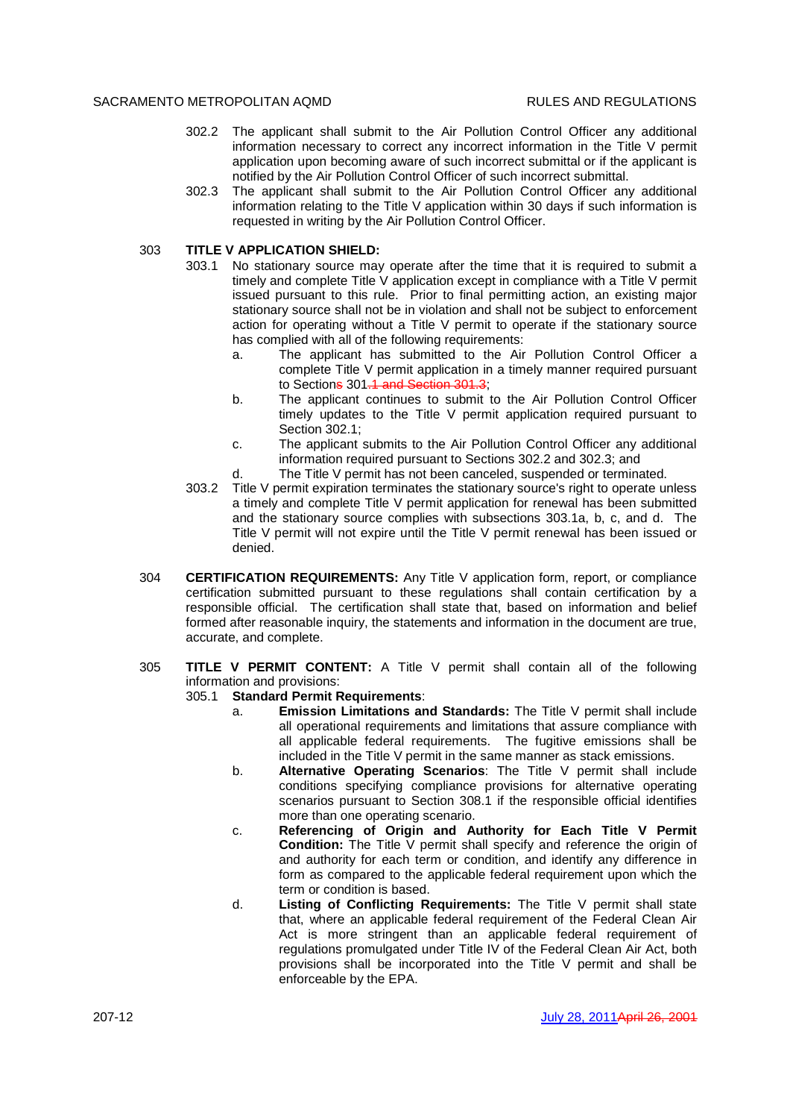- 302.2 The applicant shall submit to the Air Pollution Control Officer any additional information necessary to correct any incorrect information in the Title V permit application upon becoming aware of such incorrect submittal or if the applicant is notified by the Air Pollution Control Officer of such incorrect submittal.
- 302.3 The applicant shall submit to the Air Pollution Control Officer any additional information relating to the Title V application within 30 days if such information is requested in writing by the Air Pollution Control Officer.

## 303 **TITLE V APPLICATION SHIELD:**

- 303.1 No stationary source may operate after the time that it is required to submit a timely and complete Title V application except in compliance with a Title V permit issued pursuant to this rule. Prior to final permitting action, an existing major stationary source shall not be in violation and shall not be subject to enforcement action for operating without a Title V permit to operate if the stationary source has complied with all of the following requirements:
	- a. The applicant has submitted to the Air Pollution Control Officer a complete Title V permit application in a timely manner required pursuant to Sections 301.1 and Section 301.3;
	- b. The applicant continues to submit to the Air Pollution Control Officer timely updates to the Title V permit application required pursuant to Section 302.1;
	- c. The applicant submits to the Air Pollution Control Officer any additional information required pursuant to Sections 302.2 and 302.3; and
	- d. The Title V permit has not been canceled, suspended or terminated.
- 303.2 Title V permit expiration terminates the stationary source's right to operate unless a timely and complete Title V permit application for renewal has been submitted and the stationary source complies with subsections 303.1a, b, c, and d. The Title V permit will not expire until the Title V permit renewal has been issued or denied.
- 304 **CERTIFICATION REQUIREMENTS:** Any Title V application form, report, or compliance certification submitted pursuant to these regulations shall contain certification by a responsible official. The certification shall state that, based on information and belief formed after reasonable inquiry, the statements and information in the document are true, accurate, and complete.

# 305 **TITLE V PERMIT CONTENT:** A Title V permit shall contain all of the following information and provisions:

### 305.1 **Standard Permit Requirements**:

- a. **Emission Limitations and Standards:** The Title V permit shall include all operational requirements and limitations that assure compliance with all applicable federal requirements. The fugitive emissions shall be included in the Title V permit in the same manner as stack emissions.
- b. **Alternative Operating Scenarios**: The Title V permit shall include conditions specifying compliance provisions for alternative operating scenarios pursuant to Section 308.1 if the responsible official identifies more than one operating scenario.
- c. **Referencing of Origin and Authority for Each Title V Permit Condition:** The Title V permit shall specify and reference the origin of and authority for each term or condition, and identify any difference in form as compared to the applicable federal requirement upon which the term or condition is based.
- d. **Listing of Conflicting Requirements:** The Title V permit shall state that, where an applicable federal requirement of the Federal Clean Air Act is more stringent than an applicable federal requirement of regulations promulgated under Title IV of the Federal Clean Air Act, both provisions shall be incorporated into the Title V permit and shall be enforceable by the EPA.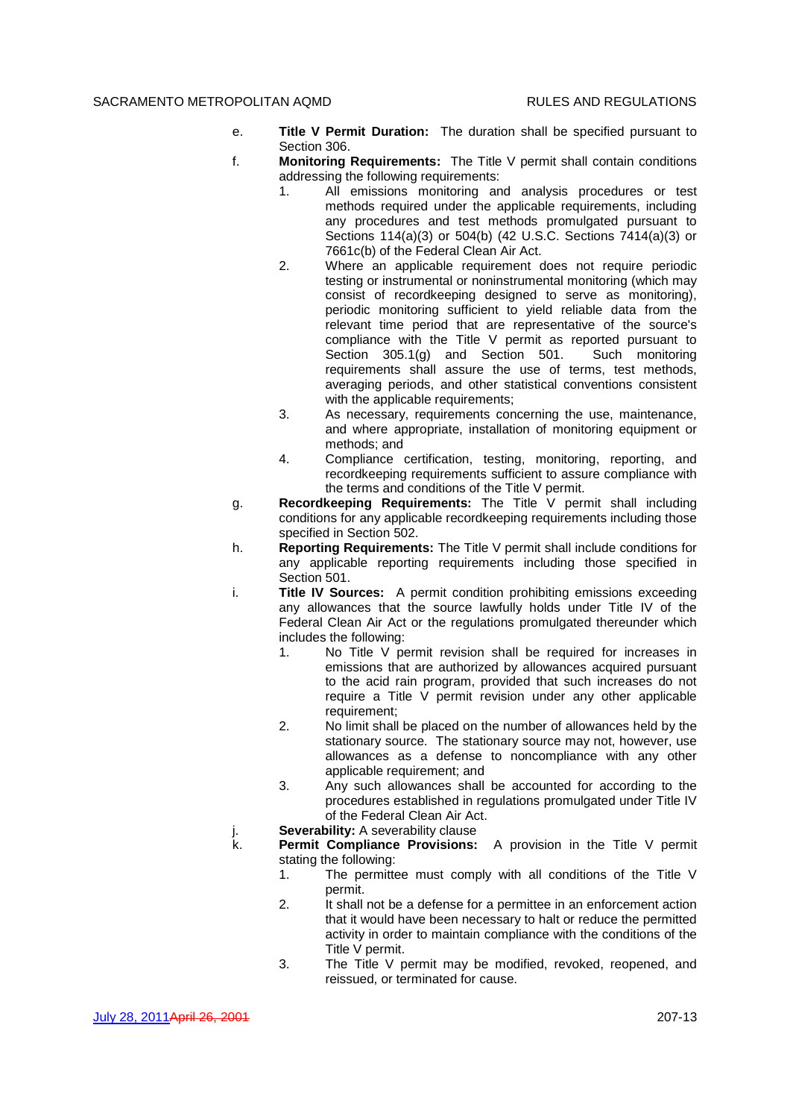- e. **Title V Permit Duration:** The duration shall be specified pursuant to Section 306.
- f. **Monitoring Requirements:** The Title V permit shall contain conditions addressing the following requirements:
	- 1. All emissions monitoring and analysis procedures or test methods required under the applicable requirements, including any procedures and test methods promulgated pursuant to Sections 114(a)(3) or 504(b) (42 U.S.C. Sections 7414(a)(3) or 7661c(b) of the Federal Clean Air Act.
	- 2. Where an applicable requirement does not require periodic testing or instrumental or noninstrumental monitoring (which may consist of recordkeeping designed to serve as monitoring), periodic monitoring sufficient to yield reliable data from the relevant time period that are representative of the source's compliance with the Title V permit as reported pursuant to Section 305.1(g) and Section 501. Such monitoring requirements shall assure the use of terms, test methods, averaging periods, and other statistical conventions consistent with the applicable requirements:
	- 3. As necessary, requirements concerning the use, maintenance, and where appropriate, installation of monitoring equipment or methods; and
	- 4. Compliance certification, testing, monitoring, reporting, and recordkeeping requirements sufficient to assure compliance with the terms and conditions of the Title V permit.
- g. **Recordkeeping Requirements:** The Title V permit shall including conditions for any applicable recordkeeping requirements including those specified in Section 502.
- h. **Reporting Requirements:** The Title V permit shall include conditions for any applicable reporting requirements including those specified in Section 501.
- i. **Title IV Sources:** A permit condition prohibiting emissions exceeding any allowances that the source lawfully holds under Title IV of the Federal Clean Air Act or the regulations promulgated thereunder which includes the following:
	- 1. No Title V permit revision shall be required for increases in emissions that are authorized by allowances acquired pursuant to the acid rain program, provided that such increases do not require a Title V permit revision under any other applicable requirement;
	- 2. No limit shall be placed on the number of allowances held by the stationary source. The stationary source may not, however, use allowances as a defense to noncompliance with any other applicable requirement; and
	- 3. Any such allowances shall be accounted for according to the procedures established in regulations promulgated under Title IV of the Federal Clean Air Act.
- j. **Severability:** A severability clause
- k. **Permit Compliance Provisions:** A provision in the Title V permit stating the following:
	- 1. The permittee must comply with all conditions of the Title V permit.
	- 2. It shall not be a defense for a permittee in an enforcement action that it would have been necessary to halt or reduce the permitted activity in order to maintain compliance with the conditions of the Title V permit.
	- 3. The Title V permit may be modified, revoked, reopened, and reissued, or terminated for cause.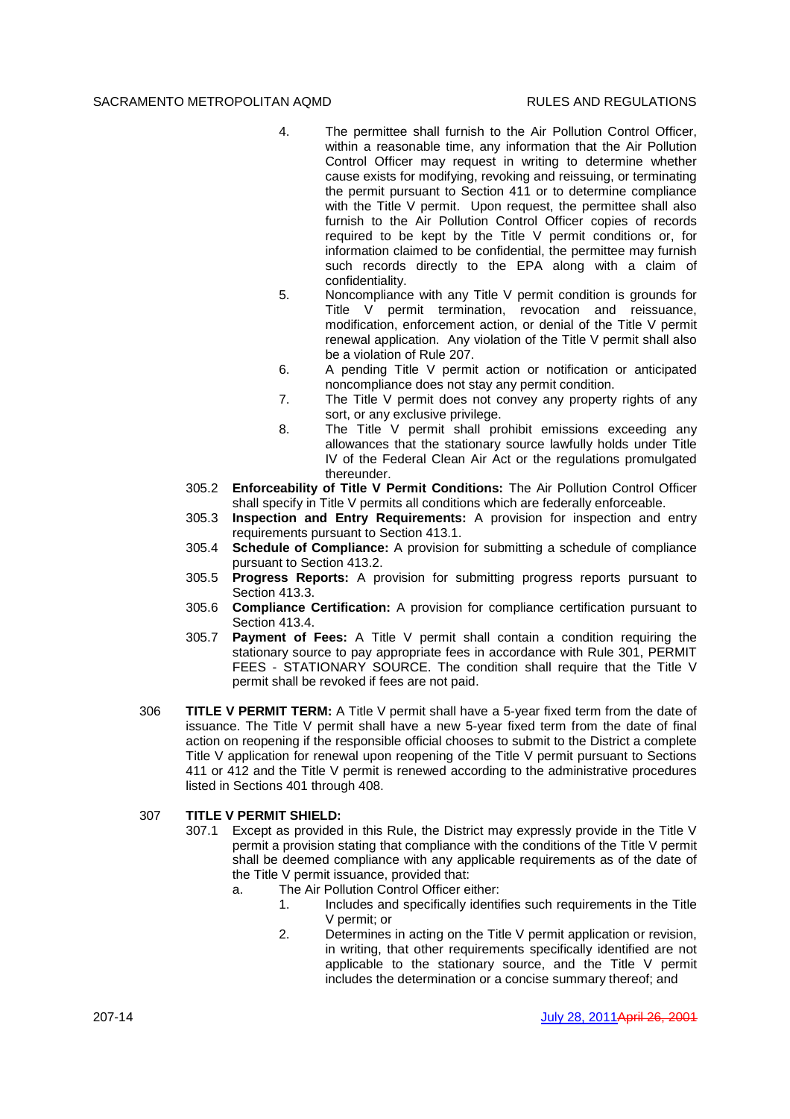- 4. The permittee shall furnish to the Air Pollution Control Officer, within a reasonable time, any information that the Air Pollution Control Officer may request in writing to determine whether cause exists for modifying, revoking and reissuing, or terminating the permit pursuant to Section 411 or to determine compliance with the Title V permit. Upon request, the permittee shall also furnish to the Air Pollution Control Officer copies of records required to be kept by the Title V permit conditions or, for information claimed to be confidential, the permittee may furnish such records directly to the EPA along with a claim of confidentiality.
- 5. Noncompliance with any Title V permit condition is grounds for Title V permit termination, revocation and reissuance, modification, enforcement action, or denial of the Title V permit renewal application. Any violation of the Title V permit shall also be a violation of Rule 207.
- 6. A pending Title V permit action or notification or anticipated noncompliance does not stay any permit condition.
- 7. The Title V permit does not convey any property rights of any sort, or any exclusive privilege.
- 8. The Title V permit shall prohibit emissions exceeding any allowances that the stationary source lawfully holds under Title IV of the Federal Clean Air Act or the regulations promulgated thereunder.
- 305.2 **Enforceability of Title V Permit Conditions:** The Air Pollution Control Officer shall specify in Title V permits all conditions which are federally enforceable.
- 305.3 **Inspection and Entry Requirements:** A provision for inspection and entry requirements pursuant to Section 413.1.
- 305.4 **Schedule of Compliance:** A provision for submitting a schedule of compliance pursuant to Section 413.2.
- 305.5 **Progress Reports:** A provision for submitting progress reports pursuant to Section 413.3.
- 305.6 **Compliance Certification:** A provision for compliance certification pursuant to Section 413.4.
- 305.7 **Payment of Fees:** A Title V permit shall contain a condition requiring the stationary source to pay appropriate fees in accordance with Rule 301, PERMIT FEES - STATIONARY SOURCE. The condition shall require that the Title V permit shall be revoked if fees are not paid.
- 306 **TITLE V PERMIT TERM:** A Title V permit shall have a 5-year fixed term from the date of issuance. The Title V permit shall have a new 5-year fixed term from the date of final action on reopening if the responsible official chooses to submit to the District a complete Title V application for renewal upon reopening of the Title V permit pursuant to Sections 411 or 412 and the Title V permit is renewed according to the administrative procedures listed in Sections 401 through 408.

## 307 **TITLE V PERMIT SHIELD:**

- 307.1 Except as provided in this Rule, the District may expressly provide in the Title V permit a provision stating that compliance with the conditions of the Title V permit shall be deemed compliance with any applicable requirements as of the date of the Title V permit issuance, provided that:
	- a. The Air Pollution Control Officer either:
		- 1. Includes and specifically identifies such requirements in the Title V permit; or
		- 2. Determines in acting on the Title V permit application or revision, in writing, that other requirements specifically identified are not applicable to the stationary source, and the Title V permit includes the determination or a concise summary thereof; and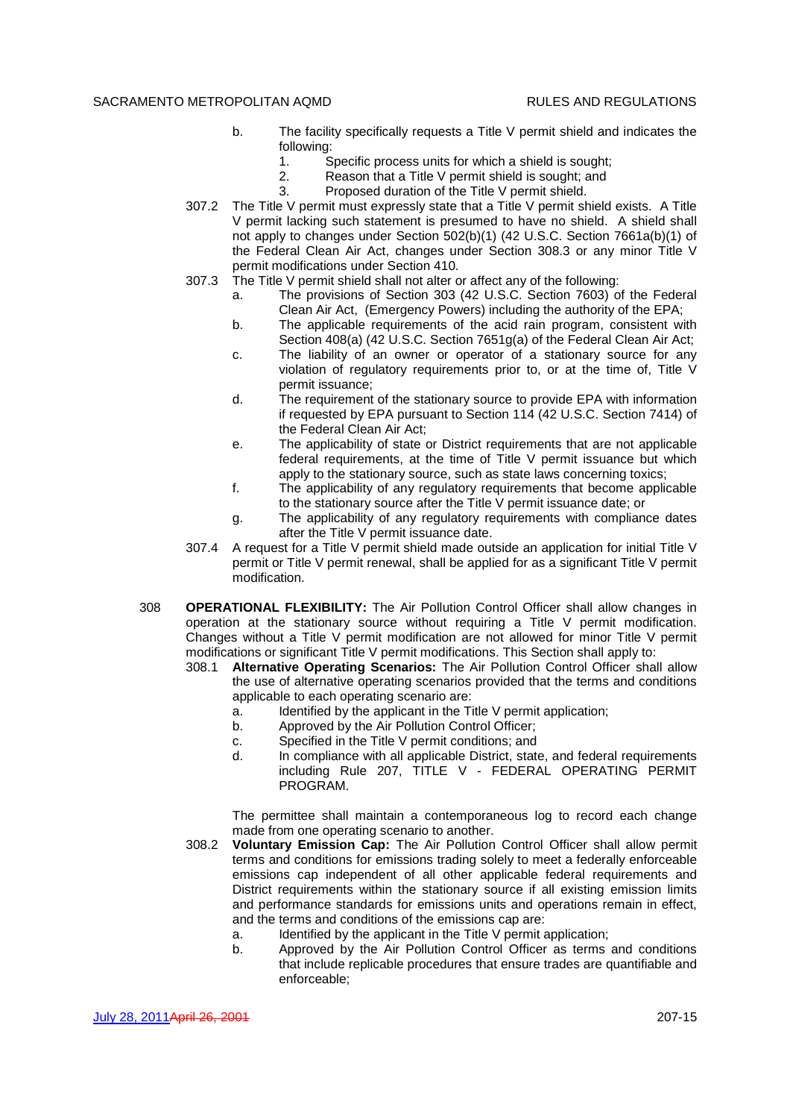- b. The facility specifically requests a Title V permit shield and indicates the following:
	- 1. Specific process units for which a shield is sought;
	- 2. Reason that a Title V permit shield is sought; and
	- 3. Proposed duration of the Title V permit shield.
- 307.2 The Title V permit must expressly state that a Title V permit shield exists. A Title V permit lacking such statement is presumed to have no shield. A shield shall not apply to changes under Section 502(b)(1) (42 U.S.C. Section 7661a(b)(1) of the Federal Clean Air Act, changes under Section 308.3 or any minor Title V permit modifications under Section 410.
- 307.3 The Title V permit shield shall not alter or affect any of the following:
	- a. The provisions of Section 303 (42 U.S.C. Section 7603) of the Federal Clean Air Act, (Emergency Powers) including the authority of the EPA;
	- b. The applicable requirements of the acid rain program, consistent with Section 408(a) (42 U.S.C. Section 7651g(a) of the Federal Clean Air Act;
	- c. The liability of an owner or operator of a stationary source for any violation of regulatory requirements prior to, or at the time of, Title V permit issuance;
	- d. The requirement of the stationary source to provide EPA with information if requested by EPA pursuant to Section 114 (42 U.S.C. Section 7414) of the Federal Clean Air Act;
	- e. The applicability of state or District requirements that are not applicable federal requirements, at the time of Title V permit issuance but which apply to the stationary source, such as state laws concerning toxics;
	- f. The applicability of any regulatory requirements that become applicable to the stationary source after the Title V permit issuance date; or
	- g. The applicability of any regulatory requirements with compliance dates after the Title V permit issuance date.
- 307.4 A request for a Title V permit shield made outside an application for initial Title V permit or Title V permit renewal, shall be applied for as a significant Title V permit modification.
- 308 **OPERATIONAL FLEXIBILITY:** The Air Pollution Control Officer shall allow changes in operation at the stationary source without requiring a Title V permit modification. Changes without a Title V permit modification are not allowed for minor Title V permit modifications or significant Title V permit modifications. This Section shall apply to:
	- 308.1 **Alternative Operating Scenarios:** The Air Pollution Control Officer shall allow the use of alternative operating scenarios provided that the terms and conditions applicable to each operating scenario are:
		- a. Identified by the applicant in the Title V permit application;
		- b. Approved by the Air Pollution Control Officer;
		- c. Specified in the Title V permit conditions; and
		- d. In compliance with all applicable District, state, and federal requirements including Rule 207, TITLE V - FEDERAL OPERATING PERMIT PROGRAM.

The permittee shall maintain a contemporaneous log to record each change made from one operating scenario to another.

- 308.2 **Voluntary Emission Cap:** The Air Pollution Control Officer shall allow permit terms and conditions for emissions trading solely to meet a federally enforceable emissions cap independent of all other applicable federal requirements and District requirements within the stationary source if all existing emission limits and performance standards for emissions units and operations remain in effect, and the terms and conditions of the emissions cap are:
	- a. Identified by the applicant in the Title V permit application;
	- b. Approved by the Air Pollution Control Officer as terms and conditions that include replicable procedures that ensure trades are quantifiable and enforceable;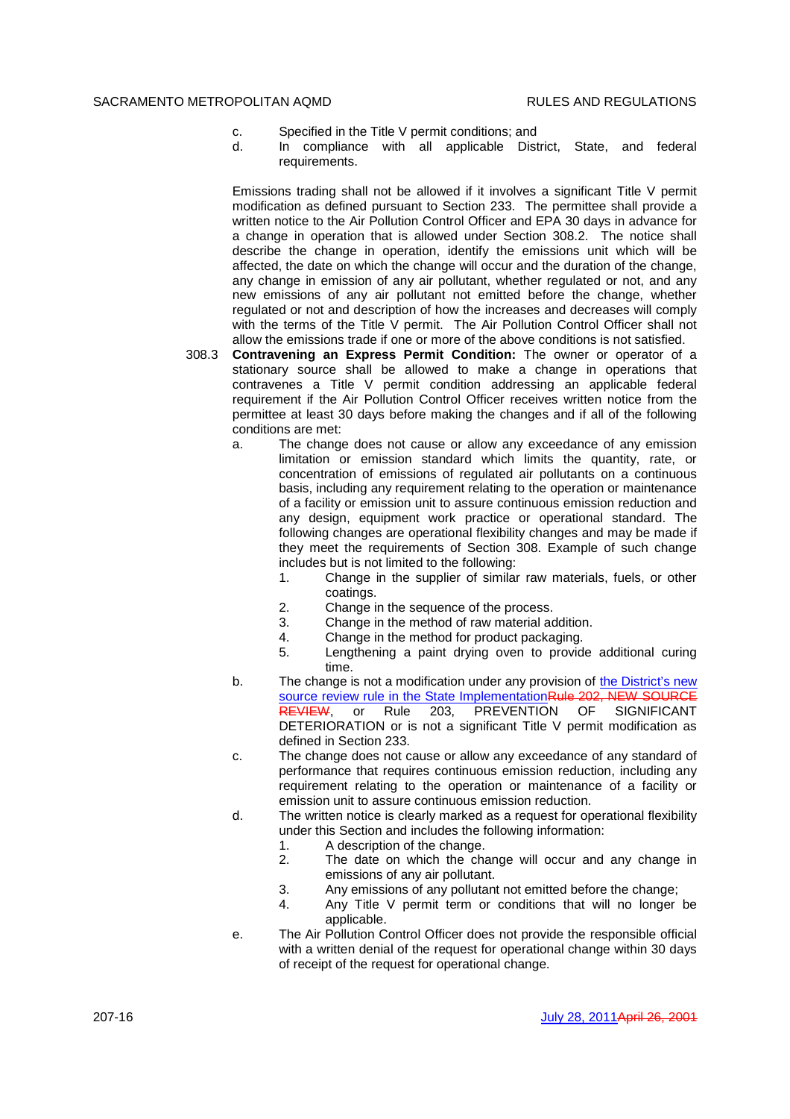- c. Specified in the Title V permit conditions; and
- d. In compliance with all applicable District, State, and federal requirements.

Emissions trading shall not be allowed if it involves a significant Title V permit modification as defined pursuant to Section 233. The permittee shall provide a written notice to the Air Pollution Control Officer and EPA 30 days in advance for a change in operation that is allowed under Section 308.2. The notice shall describe the change in operation, identify the emissions unit which will be affected, the date on which the change will occur and the duration of the change, any change in emission of any air pollutant, whether regulated or not, and any new emissions of any air pollutant not emitted before the change, whether regulated or not and description of how the increases and decreases will comply with the terms of the Title V permit. The Air Pollution Control Officer shall not allow the emissions trade if one or more of the above conditions is not satisfied.

- 308.3 **Contravening an Express Permit Condition:** The owner or operator of a stationary source shall be allowed to make a change in operations that contravenes a Title V permit condition addressing an applicable federal requirement if the Air Pollution Control Officer receives written notice from the permittee at least 30 days before making the changes and if all of the following conditions are met:
	- a. The change does not cause or allow any exceedance of any emission limitation or emission standard which limits the quantity, rate, or concentration of emissions of regulated air pollutants on a continuous basis, including any requirement relating to the operation or maintenance of a facility or emission unit to assure continuous emission reduction and any design, equipment work practice or operational standard. The following changes are operational flexibility changes and may be made if they meet the requirements of Section 308. Example of such change includes but is not limited to the following:
		- 1. Change in the supplier of similar raw materials, fuels, or other coatings.
		- 2. Change in the sequence of the process.
		- 3. Change in the method of raw material addition.
		- 4. Change in the method for product packaging.
		- 5. Lengthening a paint drying oven to provide additional curing time.
	- b. The change is not a modification under any provision of the District's new source review rule in the State ImplementationRule 202, NEW SOURCE REVIEW, or Rule 203, PREVENTION OF SIGNIFICANT DETERIORATION or is not a significant Title V permit modification as defined in Section 233.
	- c. The change does not cause or allow any exceedance of any standard of performance that requires continuous emission reduction, including any requirement relating to the operation or maintenance of a facility or emission unit to assure continuous emission reduction.
	- d. The written notice is clearly marked as a request for operational flexibility under this Section and includes the following information:
		- 1. A description of the change.
		- 2. The date on which the change will occur and any change in emissions of any air pollutant.
		- 3. Any emissions of any pollutant not emitted before the change;
		- 4. Any Title V permit term or conditions that will no longer be applicable.
	- e. The Air Pollution Control Officer does not provide the responsible official with a written denial of the request for operational change within 30 days of receipt of the request for operational change.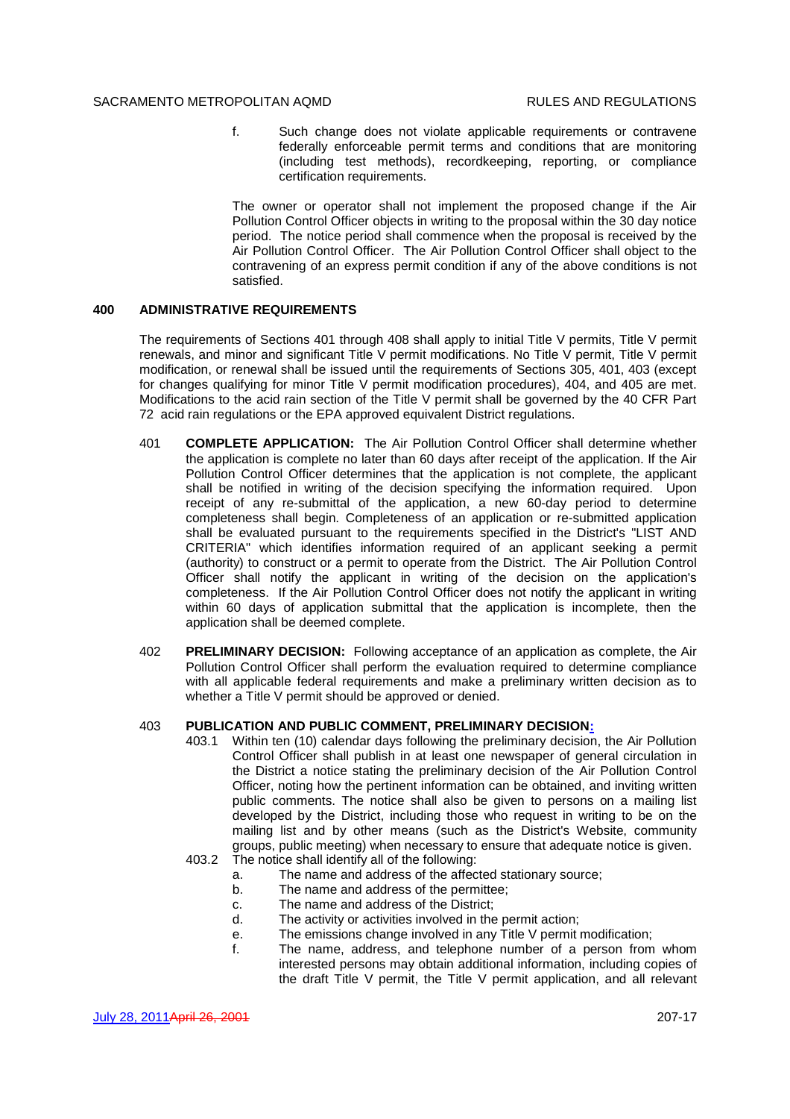f. Such change does not violate applicable requirements or contravene federally enforceable permit terms and conditions that are monitoring (including test methods), recordkeeping, reporting, or compliance certification requirements.

The owner or operator shall not implement the proposed change if the Air Pollution Control Officer objects in writing to the proposal within the 30 day notice period. The notice period shall commence when the proposal is received by the Air Pollution Control Officer. The Air Pollution Control Officer shall object to the contravening of an express permit condition if any of the above conditions is not satisfied.

## **400 ADMINISTRATIVE REQUIREMENTS**

The requirements of Sections 401 through 408 shall apply to initial Title V permits, Title V permit renewals, and minor and significant Title V permit modifications. No Title V permit, Title V permit modification, or renewal shall be issued until the requirements of Sections 305, 401, 403 (except for changes qualifying for minor Title V permit modification procedures), 404, and 405 are met. Modifications to the acid rain section of the Title V permit shall be governed by the 40 CFR Part 72 acid rain regulations or the EPA approved equivalent District regulations.

- 401 **COMPLETE APPLICATION:** The Air Pollution Control Officer shall determine whether the application is complete no later than 60 days after receipt of the application. If the Air Pollution Control Officer determines that the application is not complete, the applicant shall be notified in writing of the decision specifying the information required. Upon receipt of any re-submittal of the application, a new 60-day period to determine completeness shall begin. Completeness of an application or re-submitted application shall be evaluated pursuant to the requirements specified in the District's "LIST AND CRITERIA" which identifies information required of an applicant seeking a permit (authority) to construct or a permit to operate from the District. The Air Pollution Control Officer shall notify the applicant in writing of the decision on the application's completeness. If the Air Pollution Control Officer does not notify the applicant in writing within 60 days of application submittal that the application is incomplete, then the application shall be deemed complete.
- 402 **PRELIMINARY DECISION:** Following acceptance of an application as complete, the Air Pollution Control Officer shall perform the evaluation required to determine compliance with all applicable federal requirements and make a preliminary written decision as to whether a Title V permit should be approved or denied.

## 403 **PUBLICATION AND PUBLIC COMMENT, PRELIMINARY DECISION:**

- 403.1 Within ten (10) calendar days following the preliminary decision, the Air Pollution Control Officer shall publish in at least one newspaper of general circulation in the District a notice stating the preliminary decision of the Air Pollution Control Officer, noting how the pertinent information can be obtained, and inviting written public comments. The notice shall also be given to persons on a mailing list developed by the District, including those who request in writing to be on the mailing list and by other means (such as the District's Website, community groups, public meeting) when necessary to ensure that adequate notice is given.
- 403.2 The notice shall identify all of the following:
	- a. The name and address of the affected stationary source;
	- b. The name and address of the permittee;
	- c. The name and address of the District;
	- d. The activity or activities involved in the permit action;
	- e. The emissions change involved in any Title V permit modification;
	- f. The name, address, and telephone number of a person from whom interested persons may obtain additional information, including copies of the draft Title V permit, the Title V permit application, and all relevant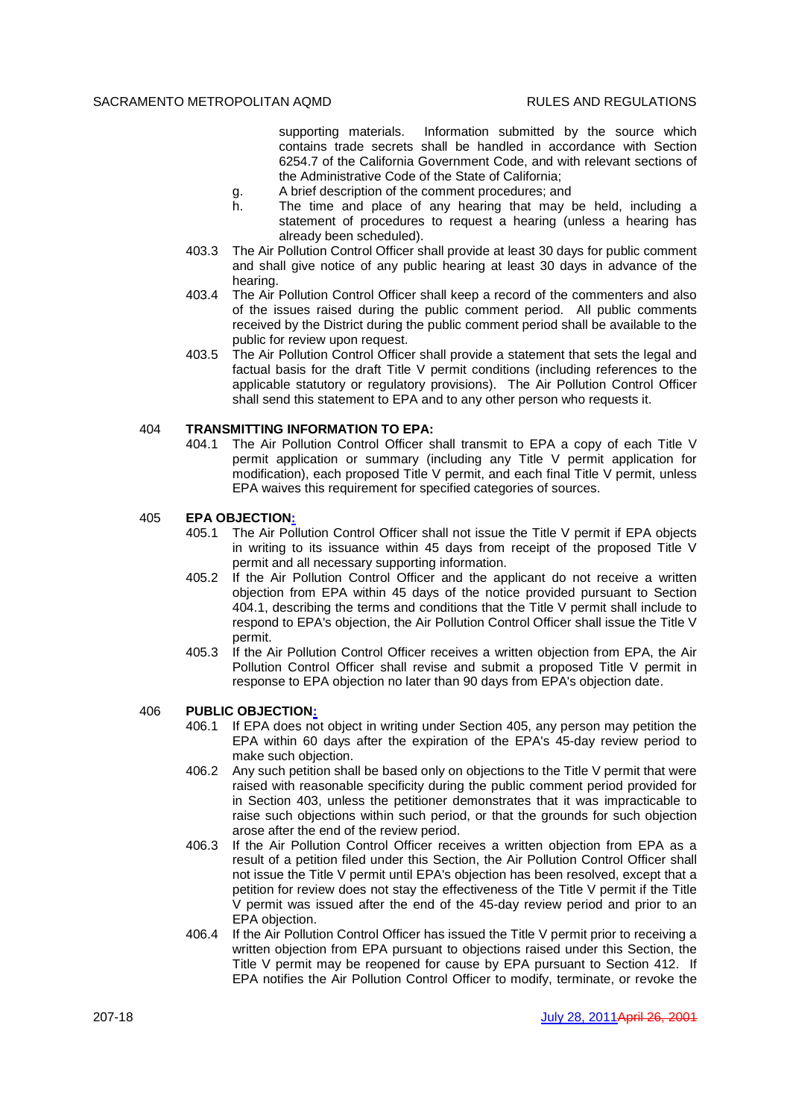supporting materials. Information submitted by the source which contains trade secrets shall be handled in accordance with Section 6254.7 of the California Government Code, and with relevant sections of the Administrative Code of the State of California;

- g. A brief description of the comment procedures; and
- h. The time and place of any hearing that may be held, including a statement of procedures to request a hearing (unless a hearing has already been scheduled).
- 403.3 The Air Pollution Control Officer shall provide at least 30 days for public comment and shall give notice of any public hearing at least 30 days in advance of the hearing.
- 403.4 The Air Pollution Control Officer shall keep a record of the commenters and also of the issues raised during the public comment period. All public comments received by the District during the public comment period shall be available to the public for review upon request.
- 403.5 The Air Pollution Control Officer shall provide a statement that sets the legal and factual basis for the draft Title V permit conditions (including references to the applicable statutory or regulatory provisions). The Air Pollution Control Officer shall send this statement to EPA and to any other person who requests it.

## 404 **TRANSMITTING INFORMATION TO EPA:**

404.1 The Air Pollution Control Officer shall transmit to EPA a copy of each Title V permit application or summary (including any Title V permit application for modification), each proposed Title V permit, and each final Title V permit, unless EPA waives this requirement for specified categories of sources.

## 405 **EPA OBJECTION:**

- 405.1 The Air Pollution Control Officer shall not issue the Title V permit if EPA objects in writing to its issuance within 45 days from receipt of the proposed Title V permit and all necessary supporting information.
- 405.2 If the Air Pollution Control Officer and the applicant do not receive a written objection from EPA within 45 days of the notice provided pursuant to Section 404.1, describing the terms and conditions that the Title V permit shall include to respond to EPA's objection, the Air Pollution Control Officer shall issue the Title V permit.
- 405.3 If the Air Pollution Control Officer receives a written objection from EPA, the Air Pollution Control Officer shall revise and submit a proposed Title V permit in response to EPA objection no later than 90 days from EPA's objection date.

## 406 **PUBLIC OBJECTION:**

- 406.1 If EPA does not object in writing under Section 405, any person may petition the EPA within 60 days after the expiration of the EPA's 45-day review period to make such objection.
- 406.2 Any such petition shall be based only on objections to the Title V permit that were raised with reasonable specificity during the public comment period provided for in Section 403, unless the petitioner demonstrates that it was impracticable to raise such objections within such period, or that the grounds for such objection arose after the end of the review period.
- 406.3 If the Air Pollution Control Officer receives a written objection from EPA as a result of a petition filed under this Section, the Air Pollution Control Officer shall not issue the Title V permit until EPA's objection has been resolved, except that a petition for review does not stay the effectiveness of the Title V permit if the Title V permit was issued after the end of the 45-day review period and prior to an EPA objection.
- 406.4 If the Air Pollution Control Officer has issued the Title V permit prior to receiving a written objection from EPA pursuant to objections raised under this Section, the Title V permit may be reopened for cause by EPA pursuant to Section 412. If EPA notifies the Air Pollution Control Officer to modify, terminate, or revoke the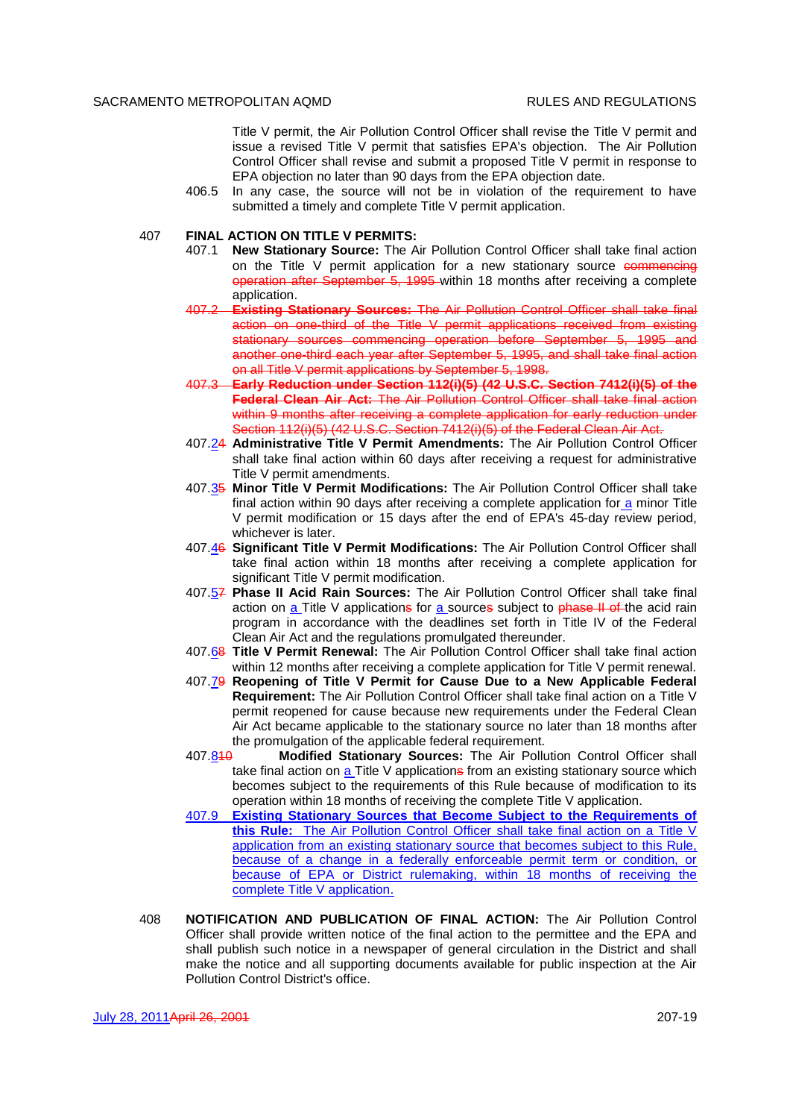Title V permit, the Air Pollution Control Officer shall revise the Title V permit and issue a revised Title V permit that satisfies EPA's objection. The Air Pollution Control Officer shall revise and submit a proposed Title V permit in response to EPA objection no later than 90 days from the EPA objection date.

- 406.5 In any case, the source will not be in violation of the requirement to have submitted a timely and complete Title V permit application.
- 407 **FINAL ACTION ON TITLE V PERMITS:**
	- 407.1 **New Stationary Source:** The Air Pollution Control Officer shall take final action on the Title V permit application for a new stationary source  $\epsilon$  ommencing operation after September 5, 1995 within 18 months after receiving a complete application.
	- 407.2 **Existing Stationary Sources:** The Air Pollution Control Officer shall take final action on one-third of the Title V permit applications received from existing stationary sources commencing operation before September 5, 1995 and another one-third each year after September 5, 1995, and shall take final action on all Title V permit applications by September 5, 1998.
	- 407.3 **Early Reduction under Section 112(i)(5) (42 U.S.C. Section 7412(i)(5) of the Federal Clean Air Act:** The Air Pollution Control Officer shall take final action within 9 months after receiving a complete application for early reduction under Section 112(i)(5) (42 U.S.C. Section 7412(i)(5) of the Federal Clean Air Act.
	- 407.24 **Administrative Title V Permit Amendments:** The Air Pollution Control Officer shall take final action within 60 days after receiving a request for administrative Title V permit amendments.
	- 407.35 **Minor Title V Permit Modifications:** The Air Pollution Control Officer shall take final action within 90 days after receiving a complete application for a minor Title V permit modification or 15 days after the end of EPA's 45-day review period, whichever is later.
	- 407.46 **Significant Title V Permit Modifications:** The Air Pollution Control Officer shall take final action within 18 months after receiving a complete application for significant Title V permit modification.
	- 407.57 **Phase II Acid Rain Sources:** The Air Pollution Control Officer shall take final action on a Title V applications for a sources subject to phase II of the acid rain program in accordance with the deadlines set forth in Title IV of the Federal Clean Air Act and the regulations promulgated thereunder.
	- 407.68 **Title V Permit Renewal:** The Air Pollution Control Officer shall take final action within 12 months after receiving a complete application for Title V permit renewal.
	- 407.79 **Reopening of Title V Permit for Cause Due to a New Applicable Federal Requirement:** The Air Pollution Control Officer shall take final action on a Title V permit reopened for cause because new requirements under the Federal Clean Air Act became applicable to the stationary source no later than 18 months after the promulgation of the applicable federal requirement.
	- 407.810 **Modified Stationary Sources:** The Air Pollution Control Officer shall take final action on  $\underline{a}$  Title V applications from an existing stationary source which becomes subject to the requirements of this Rule because of modification to its operation within 18 months of receiving the complete Title V application.
	- 407.9 **Existing Stationary Sources that Become Subject to the Requirements of this Rule:** The Air Pollution Control Officer shall take final action on a Title V application from an existing stationary source that becomes subject to this Rule, because of a change in a federally enforceable permit term or condition, or because of EPA or District rulemaking, within 18 months of receiving the complete Title V application.
- 408 **NOTIFICATION AND PUBLICATION OF FINAL ACTION:** The Air Pollution Control Officer shall provide written notice of the final action to the permittee and the EPA and shall publish such notice in a newspaper of general circulation in the District and shall make the notice and all supporting documents available for public inspection at the Air Pollution Control District's office.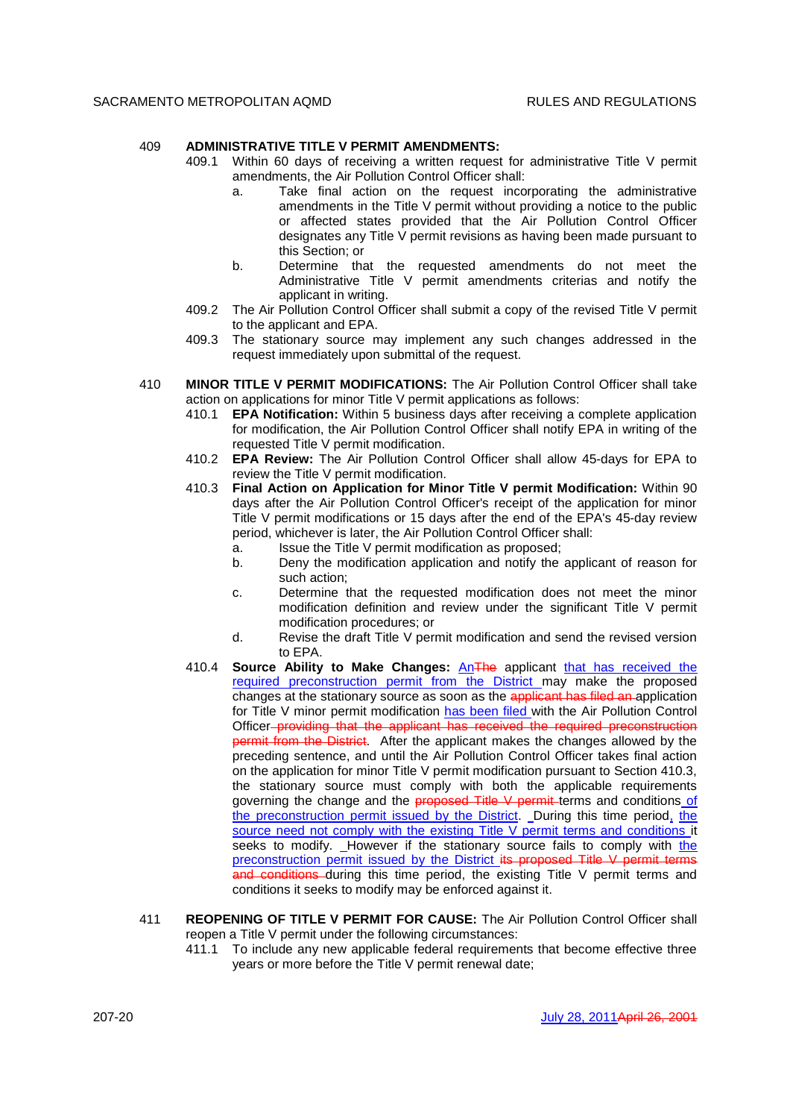## 409 **ADMINISTRATIVE TITLE V PERMIT AMENDMENTS:**

- 409.1 Within 60 days of receiving a written request for administrative Title V permit amendments, the Air Pollution Control Officer shall:
	- a. Take final action on the request incorporating the administrative amendments in the Title V permit without providing a notice to the public or affected states provided that the Air Pollution Control Officer designates any Title V permit revisions as having been made pursuant to this Section; or
	- b. Determine that the requested amendments do not meet the Administrative Title V permit amendments criterias and notify the applicant in writing.
- 409.2 The Air Pollution Control Officer shall submit a copy of the revised Title V permit to the applicant and EPA.
- 409.3 The stationary source may implement any such changes addressed in the request immediately upon submittal of the request.
- 410 **MINOR TITLE V PERMIT MODIFICATIONS:** The Air Pollution Control Officer shall take action on applications for minor Title V permit applications as follows:
	- 410.1 **EPA Notification:** Within 5 business days after receiving a complete application for modification, the Air Pollution Control Officer shall notify EPA in writing of the requested Title V permit modification.
	- 410.2 **EPA Review:** The Air Pollution Control Officer shall allow 45-days for EPA to review the Title V permit modification.
	- 410.3 **Final Action on Application for Minor Title V permit Modification:** Within 90 days after the Air Pollution Control Officer's receipt of the application for minor Title V permit modifications or 15 days after the end of the EPA's 45-day review period, whichever is later, the Air Pollution Control Officer shall:
		- a. Issue the Title V permit modification as proposed;
		- b. Deny the modification application and notify the applicant of reason for such action;
		- c. Determine that the requested modification does not meet the minor modification definition and review under the significant Title V permit modification procedures; or
		- d. Revise the draft Title V permit modification and send the revised version to EPA.
	- 410.4 **Source Ability to Make Changes:** AnThe applicant that has received the required preconstruction permit from the District may make the proposed changes at the stationary source as soon as the applicant has filed an application for Title V minor permit modification has been filed with the Air Pollution Control Officer providing that the applicant has received the required preconstruction permit from the District. After the applicant makes the changes allowed by the preceding sentence, and until the Air Pollution Control Officer takes final action on the application for minor Title V permit modification pursuant to Section 410.3, the stationary source must comply with both the applicable requirements governing the change and the **proposed Title V permit** terms and conditions of the preconstruction permit issued by the District. During this time period, the source need not comply with the existing Title V permit terms and conditions it seeks to modify. However if the stationary source fails to comply with the preconstruction permit issued by the District its proposed Title V permit terms and conditions during this time period, the existing Title V permit terms and conditions it seeks to modify may be enforced against it.
- 411 **REOPENING OF TITLE V PERMIT FOR CAUSE:** The Air Pollution Control Officer shall reopen a Title V permit under the following circumstances:
	- 411.1 To include any new applicable federal requirements that become effective three years or more before the Title V permit renewal date;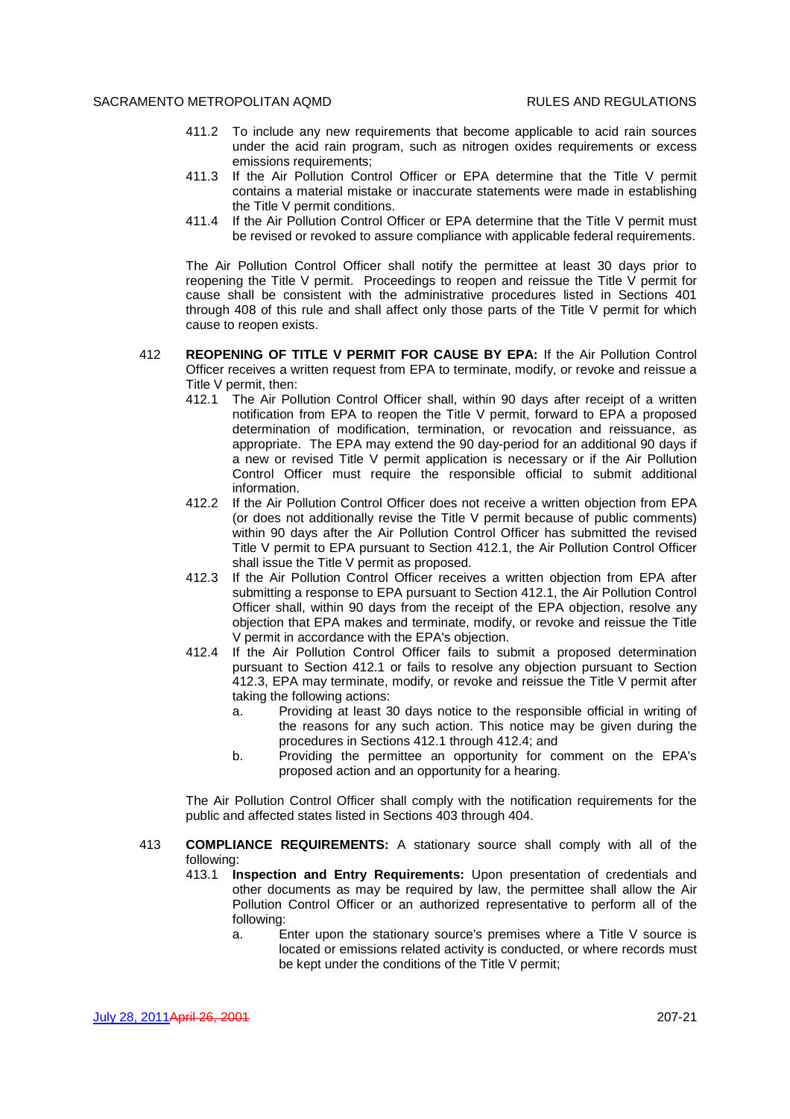- 411.2 To include any new requirements that become applicable to acid rain sources under the acid rain program, such as nitrogen oxides requirements or excess emissions requirements;
- 411.3 If the Air Pollution Control Officer or EPA determine that the Title V permit contains a material mistake or inaccurate statements were made in establishing the Title V permit conditions.
- 411.4 If the Air Pollution Control Officer or EPA determine that the Title V permit must be revised or revoked to assure compliance with applicable federal requirements.

The Air Pollution Control Officer shall notify the permittee at least 30 days prior to reopening the Title V permit. Proceedings to reopen and reissue the Title V permit for cause shall be consistent with the administrative procedures listed in Sections 401 through 408 of this rule and shall affect only those parts of the Title V permit for which cause to reopen exists.

- 412 **REOPENING OF TITLE V PERMIT FOR CAUSE BY EPA:** If the Air Pollution Control Officer receives a written request from EPA to terminate, modify, or revoke and reissue a Title V permit, then:
	- 412.1 The Air Pollution Control Officer shall, within 90 days after receipt of a written notification from EPA to reopen the Title V permit, forward to EPA a proposed determination of modification, termination, or revocation and reissuance, as appropriate. The EPA may extend the 90 day-period for an additional 90 days if a new or revised Title V permit application is necessary or if the Air Pollution Control Officer must require the responsible official to submit additional information.
	- 412.2 If the Air Pollution Control Officer does not receive a written objection from EPA (or does not additionally revise the Title V permit because of public comments) within 90 days after the Air Pollution Control Officer has submitted the revised Title V permit to EPA pursuant to Section 412.1, the Air Pollution Control Officer shall issue the Title V permit as proposed.
	- 412.3 If the Air Pollution Control Officer receives a written objection from EPA after submitting a response to EPA pursuant to Section 412.1, the Air Pollution Control Officer shall, within 90 days from the receipt of the EPA objection, resolve any objection that EPA makes and terminate, modify, or revoke and reissue the Title V permit in accordance with the EPA's objection.
	- 412.4 If the Air Pollution Control Officer fails to submit a proposed determination pursuant to Section 412.1 or fails to resolve any objection pursuant to Section 412.3, EPA may terminate, modify, or revoke and reissue the Title V permit after taking the following actions:
		- a. Providing at least 30 days notice to the responsible official in writing of the reasons for any such action. This notice may be given during the procedures in Sections 412.1 through 412.4; and
		- b. Providing the permittee an opportunity for comment on the EPA's proposed action and an opportunity for a hearing.

The Air Pollution Control Officer shall comply with the notification requirements for the public and affected states listed in Sections 403 through 404.

- 413 **COMPLIANCE REQUIREMENTS:** A stationary source shall comply with all of the following:
	- 413.1 **Inspection and Entry Requirements:** Upon presentation of credentials and other documents as may be required by law, the permittee shall allow the Air Pollution Control Officer or an authorized representative to perform all of the following:
		- a. Enter upon the stationary source's premises where a Title V source is located or emissions related activity is conducted, or where records must be kept under the conditions of the Title V permit;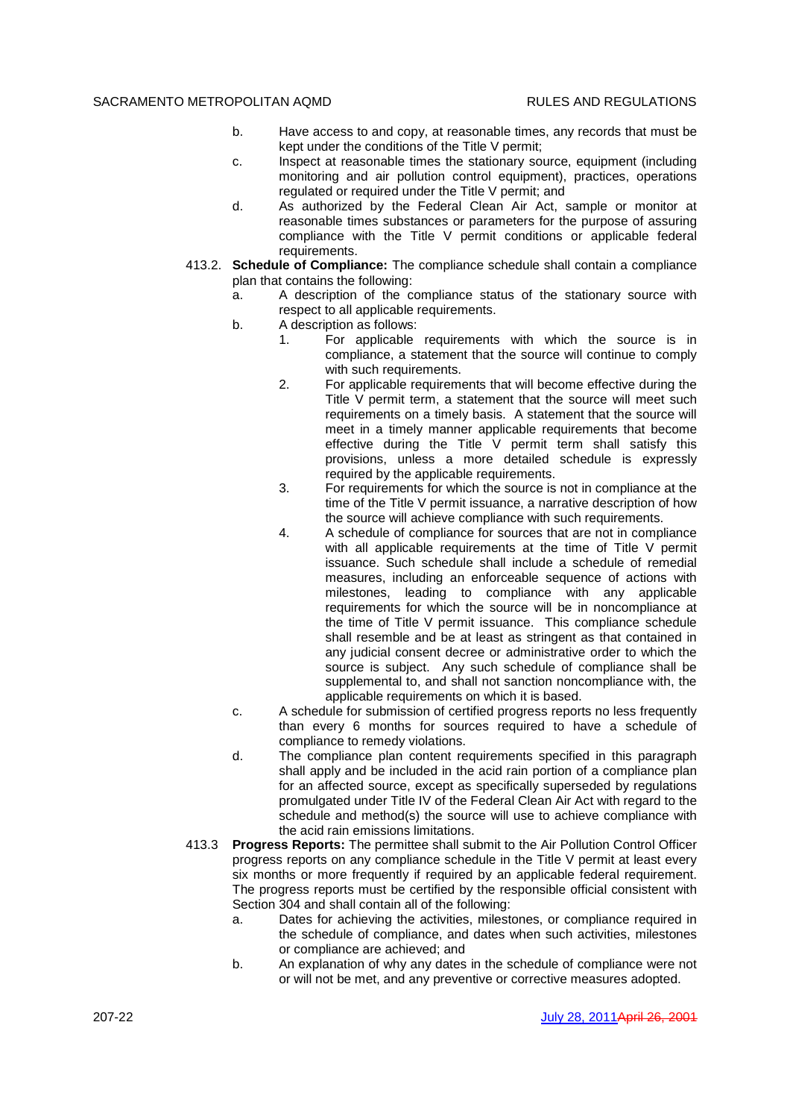- b. Have access to and copy, at reasonable times, any records that must be kept under the conditions of the Title V permit;
- c. Inspect at reasonable times the stationary source, equipment (including monitoring and air pollution control equipment), practices, operations regulated or required under the Title V permit; and
- d. As authorized by the Federal Clean Air Act, sample or monitor at reasonable times substances or parameters for the purpose of assuring compliance with the Title V permit conditions or applicable federal requirements.
- 413.2. **Schedule of Compliance:** The compliance schedule shall contain a compliance plan that contains the following:
	- a. A description of the compliance status of the stationary source with respect to all applicable requirements.
	- b. A description as follows:
		- 1. For applicable requirements with which the source is in compliance, a statement that the source will continue to comply with such requirements.
		- 2. For applicable requirements that will become effective during the Title V permit term, a statement that the source will meet such requirements on a timely basis. A statement that the source will meet in a timely manner applicable requirements that become effective during the Title V permit term shall satisfy this provisions, unless a more detailed schedule is expressly required by the applicable requirements.
		- 3. For requirements for which the source is not in compliance at the time of the Title V permit issuance, a narrative description of how the source will achieve compliance with such requirements.
		- 4. A schedule of compliance for sources that are not in compliance with all applicable requirements at the time of Title V permit issuance. Such schedule shall include a schedule of remedial measures, including an enforceable sequence of actions with milestones, leading to compliance with any applicable requirements for which the source will be in noncompliance at the time of Title V permit issuance. This compliance schedule shall resemble and be at least as stringent as that contained in any judicial consent decree or administrative order to which the source is subject. Any such schedule of compliance shall be supplemental to, and shall not sanction noncompliance with, the applicable requirements on which it is based.
	- c. A schedule for submission of certified progress reports no less frequently than every 6 months for sources required to have a schedule of compliance to remedy violations.
	- d. The compliance plan content requirements specified in this paragraph shall apply and be included in the acid rain portion of a compliance plan for an affected source, except as specifically superseded by regulations promulgated under Title IV of the Federal Clean Air Act with regard to the schedule and method(s) the source will use to achieve compliance with the acid rain emissions limitations.
- 413.3 **Progress Reports:** The permittee shall submit to the Air Pollution Control Officer progress reports on any compliance schedule in the Title V permit at least every six months or more frequently if required by an applicable federal requirement. The progress reports must be certified by the responsible official consistent with Section 304 and shall contain all of the following:
	- a. Dates for achieving the activities, milestones, or compliance required in the schedule of compliance, and dates when such activities, milestones or compliance are achieved; and
	- b. An explanation of why any dates in the schedule of compliance were not or will not be met, and any preventive or corrective measures adopted.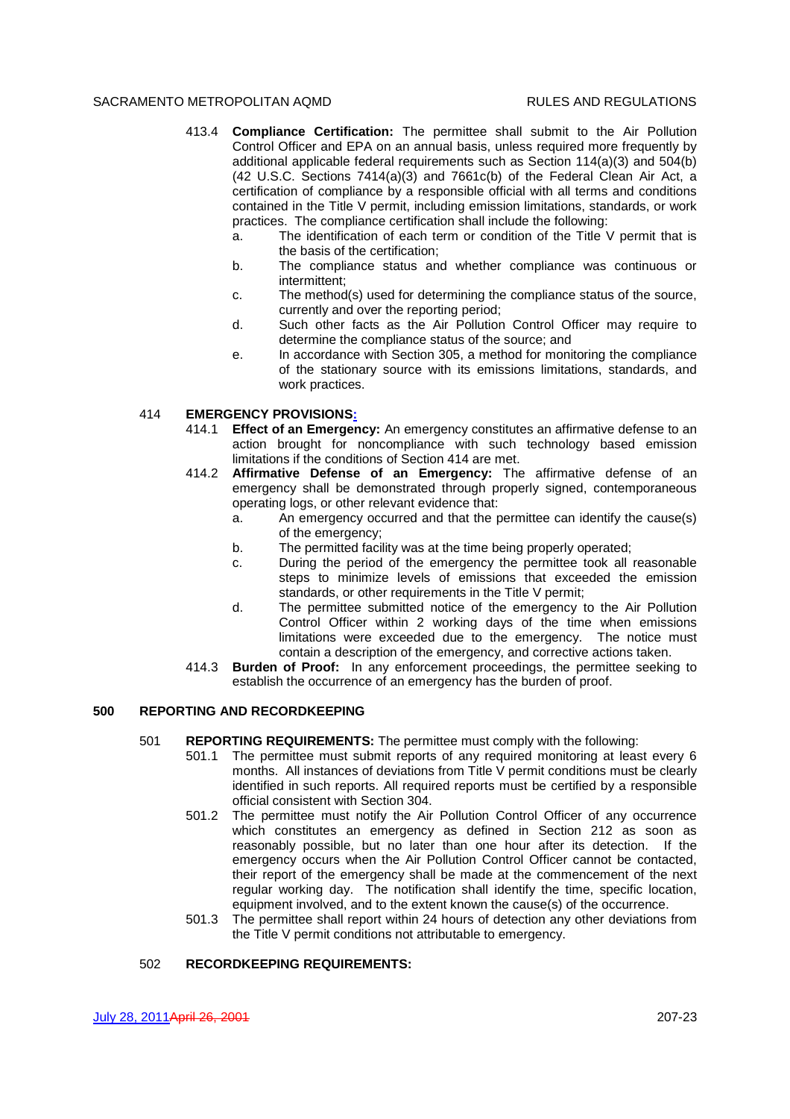- 413.4 **Compliance Certification:** The permittee shall submit to the Air Pollution Control Officer and EPA on an annual basis, unless required more frequently by additional applicable federal requirements such as Section 114(a)(3) and 504(b) (42 U.S.C. Sections 7414(a)(3) and 7661c(b) of the Federal Clean Air Act, a certification of compliance by a responsible official with all terms and conditions contained in the Title V permit, including emission limitations, standards, or work practices. The compliance certification shall include the following:
	- a. The identification of each term or condition of the Title V permit that is the basis of the certification;
	- b. The compliance status and whether compliance was continuous or intermittent;
	- c. The method(s) used for determining the compliance status of the source, currently and over the reporting period;
	- d. Such other facts as the Air Pollution Control Officer may require to determine the compliance status of the source; and
	- e. In accordance with Section 305, a method for monitoring the compliance of the stationary source with its emissions limitations, standards, and work practices.

## 414 **EMERGENCY PROVISIONS:**

- 414.1 **Effect of an Emergency:** An emergency constitutes an affirmative defense to an action brought for noncompliance with such technology based emission limitations if the conditions of Section 414 are met.
- 414.2 **Affirmative Defense of an Emergency:** The affirmative defense of an emergency shall be demonstrated through properly signed, contemporaneous operating logs, or other relevant evidence that:
	- a. An emergency occurred and that the permittee can identify the cause(s) of the emergency;
	- b. The permitted facility was at the time being properly operated;
	- c. During the period of the emergency the permittee took all reasonable steps to minimize levels of emissions that exceeded the emission standards, or other requirements in the Title V permit;
	- d. The permittee submitted notice of the emergency to the Air Pollution Control Officer within 2 working days of the time when emissions limitations were exceeded due to the emergency. The notice must contain a description of the emergency, and corrective actions taken.
- 414.3 **Burden of Proof:** In any enforcement proceedings, the permittee seeking to establish the occurrence of an emergency has the burden of proof.

# **500 REPORTING AND RECORDKEEPING**

- 501 **REPORTING REQUIREMENTS:** The permittee must comply with the following:
	- 501.1 The permittee must submit reports of any required monitoring at least every 6 months. All instances of deviations from Title V permit conditions must be clearly identified in such reports. All required reports must be certified by a responsible official consistent with Section 304.
	- 501.2 The permittee must notify the Air Pollution Control Officer of any occurrence which constitutes an emergency as defined in Section 212 as soon as reasonably possible, but no later than one hour after its detection. If the emergency occurs when the Air Pollution Control Officer cannot be contacted, their report of the emergency shall be made at the commencement of the next regular working day. The notification shall identify the time, specific location, equipment involved, and to the extent known the cause(s) of the occurrence.
	- 501.3 The permittee shall report within 24 hours of detection any other deviations from the Title V permit conditions not attributable to emergency.

# 502 **RECORDKEEPING REQUIREMENTS:**

July 28, 2011April 26, 2001 207-23